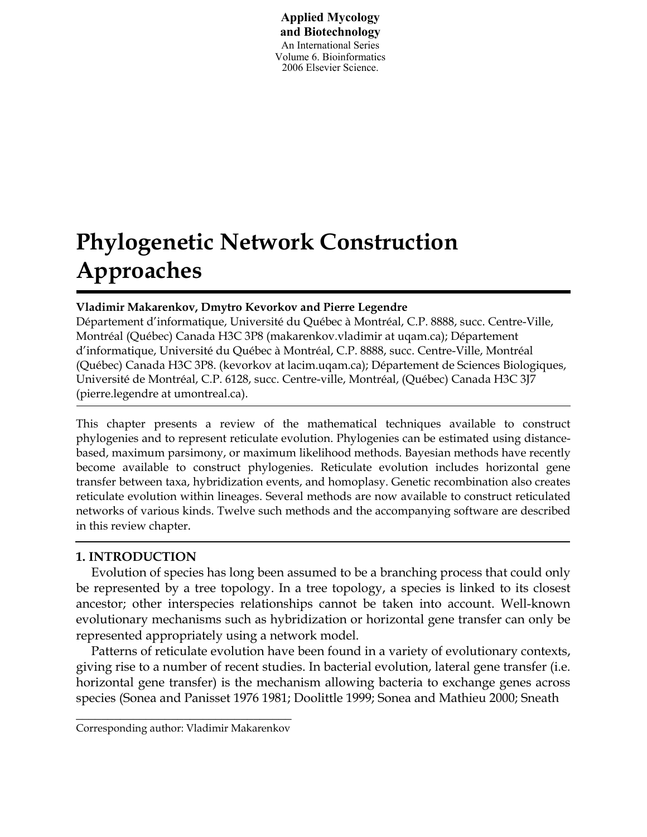**Applied Mycology and Biotechnology** An International Series Volume 6. Bioinformatics 2006 Elsevier Science.

# **Phylogenetic Network Construction Approaches**

## **Vladimir Makarenkov, Dmytro Kevorkov and Pierre Legendre**

Département d'informatique, Université du Québec à Montréal, C.P. 8888, succ. Centre-Ville, Montréal (Québec) Canada H3C 3P8 ([makarenkov.vladimir at uqam.c](mailto:makarenkov.vladimir@uqam.ca)a); Département d'informatique, Université du Québec à Montréal, C.P. 8888, succ. Centre-Ville, Montréal (Québec) Canada H3C 3P8. [\(kevorkov at lacim.uqam.c](mailto:kevorkov@lacim.uqam.ca)a); Département de Sciences Biologiques, Université de Montréal, C.P. 6128, succ. Centre-ville, Montréal, (Québec) Canada H3C 3J7 ([pierre.legendre at umontreal.c](mailto:pierre.legendre@umontreal.ca)a).

This chapter presents a review of the mathematical techniques available to construct phylogenies and to represent reticulate evolution. Phylogenies can be estimated using distancebased, maximum parsimony, or maximum likelihood methods. Bayesian methods have recently become available to construct phylogenies. Reticulate evolution includes horizontal gene transfer between taxa, hybridization events, and homoplasy. Genetic recombination also creates reticulate evolution within lineages. Several methods are now available to construct reticulated networks of various kinds. Twelve such methods and the accompanying software are described in this review chapter.

## **1. INTRODUCTION**

Evolution of species has long been assumed to be a branching process that could only be represented by a tree topology. In a tree topology, a species is linked to its closest ancestor; other interspecies relationships cannot be taken into account. Well-known evolutionary mechanisms such as hybridization or horizontal gene transfer can only be represented appropriately using a network model.

Patterns of reticulate evolution have been found in a variety of evolutionary contexts, giving rise to a number of recent studies. In bacterial evolution, lateral gene transfer (i.e. horizontal gene transfer) is the mechanism allowing bacteria to exchange genes across species (Sonea and Panisset 1976 1981; Doolittle 1999; Sonea and Mathieu 2000; Sneath

\_\_\_\_\_\_\_\_\_\_\_\_\_\_\_\_\_\_\_\_\_\_\_\_\_\_\_\_\_\_\_\_\_\_ Corresponding author: Vladimir Makarenkov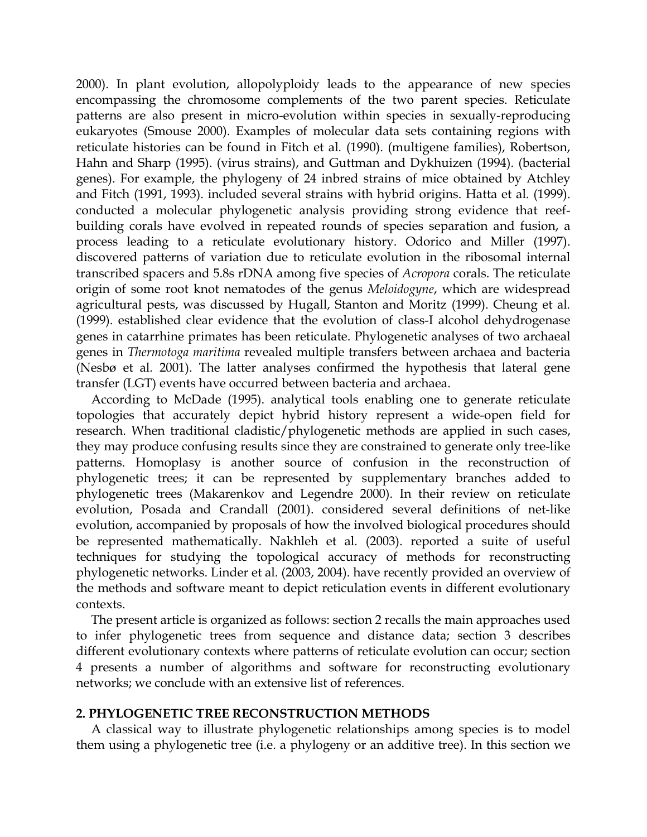2000). In plant evolution, allopolyploidy leads to the appearance of new species encompassing the chromosome complements of the two parent species. Reticulate patterns are also present in micro-evolution within species in sexually-reproducing eukaryotes (Smouse 2000). Examples of molecular data sets containing regions with reticulate histories can be found in Fitch et al*.* (1990). (multigene families), Robertson, Hahn and Sharp (1995). (virus strains), and Guttman and Dykhuizen (1994). (bacterial genes). For example, the phylogeny of 24 inbred strains of mice obtained by Atchley and Fitch (1991, 1993). included several strains with hybrid origins. Hatta et al*.* (1999). conducted a molecular phylogenetic analysis providing strong evidence that reefbuilding corals have evolved in repeated rounds of species separation and fusion, a process leading to a reticulate evolutionary history. Odorico and Miller (1997). discovered patterns of variation due to reticulate evolution in the ribosomal internal transcribed spacers and 5.8s rDNA among five species of *Acropora* corals. The reticulate origin of some root knot nematodes of the genus *Meloidogyne*, which are widespread agricultural pests, was discussed by Hugall, Stanton and Moritz (1999). Cheung et al*.* (1999). established clear evidence that the evolution of class-I alcohol dehydrogenase genes in catarrhine primates has been reticulate. Phylogenetic analyses of two archaeal genes in *Thermotoga maritima* revealed multiple transfers between archaea and bacteria (Nesbø et al*.* 2001). The latter analyses confirmed the hypothesis that lateral gene transfer (LGT) events have occurred between bacteria and archaea.

According to McDade (1995). analytical tools enabling one to generate reticulate topologies that accurately depict hybrid history represent a wide-open field for research. When traditional cladistic/phylogenetic methods are applied in such cases, they may produce confusing results since they are constrained to generate only tree-like patterns. Homoplasy is another source of confusion in the reconstruction of phylogenetic trees; it can be represented by supplementary branches added to phylogenetic trees (Makarenkov and Legendre 2000). In their review on reticulate evolution, Posada and Crandall (2001). considered several definitions of net-like evolution, accompanied by proposals of how the involved biological procedures should be represented mathematically. Nakhleh et al*.* (2003). reported a suite of useful techniques for studying the topological accuracy of methods for reconstructing phylogenetic networks. Linder et al*.* (2003, 2004). have recently provided an overview of the methods and software meant to depict reticulation events in different evolutionary contexts.

The present article is organized as follows: section 2 recalls the main approaches used to infer phylogenetic trees from sequence and distance data; section 3 describes different evolutionary contexts where patterns of reticulate evolution can occur; section 4 presents a number of algorithms and software for reconstructing evolutionary networks; we conclude with an extensive list of references.

## **2. PHYLOGENETIC TREE RECONSTRUCTION METHODS**

A classical way to illustrate phylogenetic relationships among species is to model them using a phylogenetic tree (i.e. a phylogeny or an additive tree). In this section we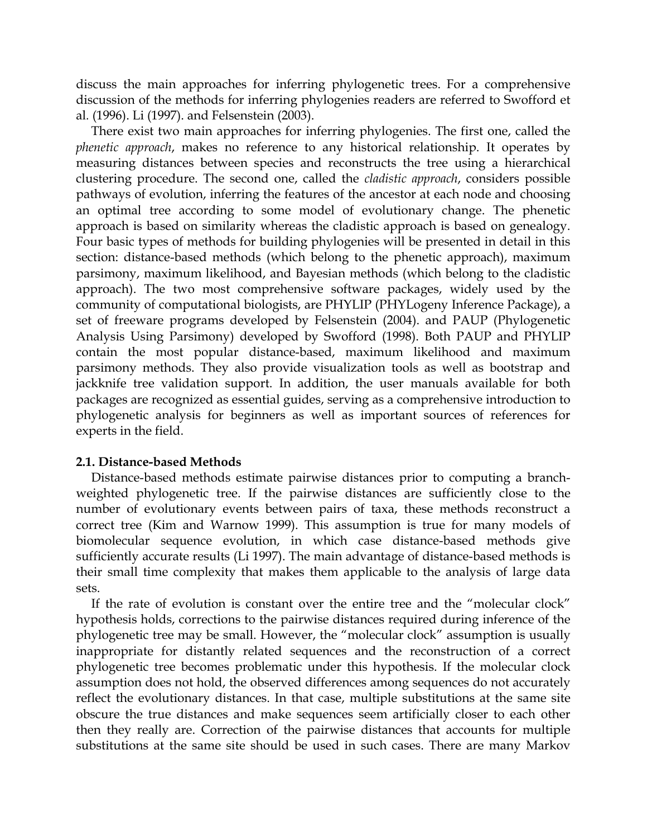discuss the main approaches for inferring phylogenetic trees. For a comprehensive discussion of the methods for inferring phylogenies readers are referred to Swofford et al*.* (1996). Li (1997). and Felsenstein (2003).

There exist two main approaches for inferring phylogenies. The first one, called the *phenetic approach*, makes no reference to any historical relationship. It operates by measuring distances between species and reconstructs the tree using a hierarchical clustering procedure. The second one, called the *cladistic approach*, considers possible pathways of evolution, inferring the features of the ancestor at each node and choosing an optimal tree according to some model of evolutionary change. The phenetic approach is based on similarity whereas the cladistic approach is based on genealogy. Four basic types of methods for building phylogenies will be presented in detail in this section: distance-based methods (which belong to the phenetic approach), maximum parsimony, maximum likelihood, and Bayesian methods (which belong to the cladistic approach). The two most comprehensive software packages, widely used by the community of computational biologists, are PHYLIP (PHYLogeny Inference Package), a set of freeware programs developed by Felsenstein (2004). and PAUP (Phylogenetic Analysis Using Parsimony) developed by Swofford (1998). Both PAUP and PHYLIP contain the most popular distance-based, maximum likelihood and maximum parsimony methods. They also provide visualization tools as well as bootstrap and jackknife tree validation support. In addition, the user manuals available for both packages are recognized as essential guides, serving as a comprehensive introduction to phylogenetic analysis for beginners as well as important sources of references for experts in the field.

## **2.1. Distance-based Methods**

Distance-based methods estimate pairwise distances prior to computing a branchweighted phylogenetic tree. If the pairwise distances are sufficiently close to the number of evolutionary events between pairs of taxa, these methods reconstruct a correct tree (Kim and Warnow 1999). This assumption is true for many models of biomolecular sequence evolution, in which case distance-based methods give sufficiently accurate results (Li 1997). The main advantage of distance-based methods is their small time complexity that makes them applicable to the analysis of large data sets.

If the rate of evolution is constant over the entire tree and the "molecular clock" hypothesis holds, corrections to the pairwise distances required during inference of the phylogenetic tree may be small. However, the "molecular clock" assumption is usually inappropriate for distantly related sequences and the reconstruction of a correct phylogenetic tree becomes problematic under this hypothesis. If the molecular clock assumption does not hold, the observed differences among sequences do not accurately reflect the evolutionary distances. In that case, multiple substitutions at the same site obscure the true distances and make sequences seem artificially closer to each other then they really are. Correction of the pairwise distances that accounts for multiple substitutions at the same site should be used in such cases. There are many Markov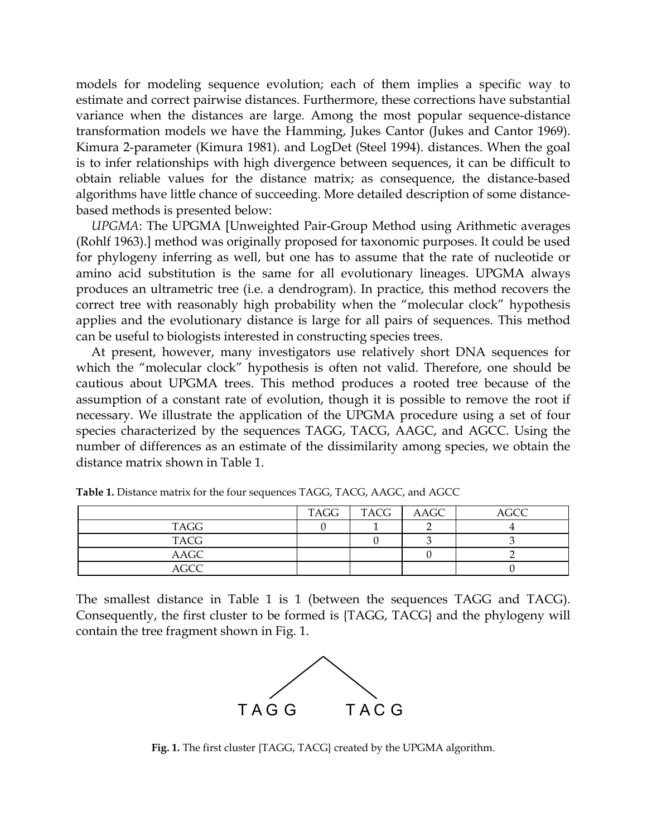models for modeling sequence evolution; each of them implies a specific way to estimate and correct pairwise distances. Furthermore, these corrections have substantial variance when the distances are large. Among the most popular sequence-distance transformation models we have the Hamming, Jukes Cantor (Jukes and Cantor 1969). Kimura 2-parameter (Kimura 1981). and LogDet (Steel 1994). distances. When the goal is to infer relationships with high divergence between sequences, it can be difficult to obtain reliable values for the distance matrix; as consequence, the distance-based algorithms have little chance of succeeding. More detailed description of some distancebased methods is presented below:

*UPGMA*: The UPGMA [Unweighted Pair-Group Method using Arithmetic averages (Rohlf 1963).] method was originally proposed for taxonomic purposes. It could be used for phylogeny inferring as well, but one has to assume that the rate of nucleotide or amino acid substitution is the same for all evolutionary lineages. UPGMA always produces an ultrametric tree (i.e. a dendrogram). In practice, this method recovers the correct tree with reasonably high probability when the "molecular clock" hypothesis applies and the evolutionary distance is large for all pairs of sequences. This method can be useful to biologists interested in constructing species trees.

At present, however, many investigators use relatively short DNA sequences for which the "molecular clock" hypothesis is often not valid. Therefore, one should be cautious about UPGMA trees. This method produces a rooted tree because of the assumption of a constant rate of evolution, though it is possible to remove the root if necessary. We illustrate the application of the UPGMA procedure using a set of four species characterized by the sequences TAGG, TACG, AAGC, and AGCC. Using the number of differences as an estimate of the dissimilarity among species, we obtain the distance matrix shown in Table 1.

|      | TAGG | TACG | AAGC | <b>AGCC</b> |
|------|------|------|------|-------------|
| TAGG |      |      |      |             |
| TACG |      |      |      |             |
| AAGC |      |      |      |             |
| AGCC |      |      |      |             |

**Table 1.** Distance matrix for the four sequences TAGG, TACG, AAGC, and AGCC

The smallest distance in Table 1 is 1 (between the sequences TAGG and TACG). Consequently, the first cluster to be formed is {TAGG, TACG} and the phylogeny will contain the tree fragment shown in Fig. 1.



**Fig. 1.** The first cluster {TAGG, TACG} created by the UPGMA algorithm.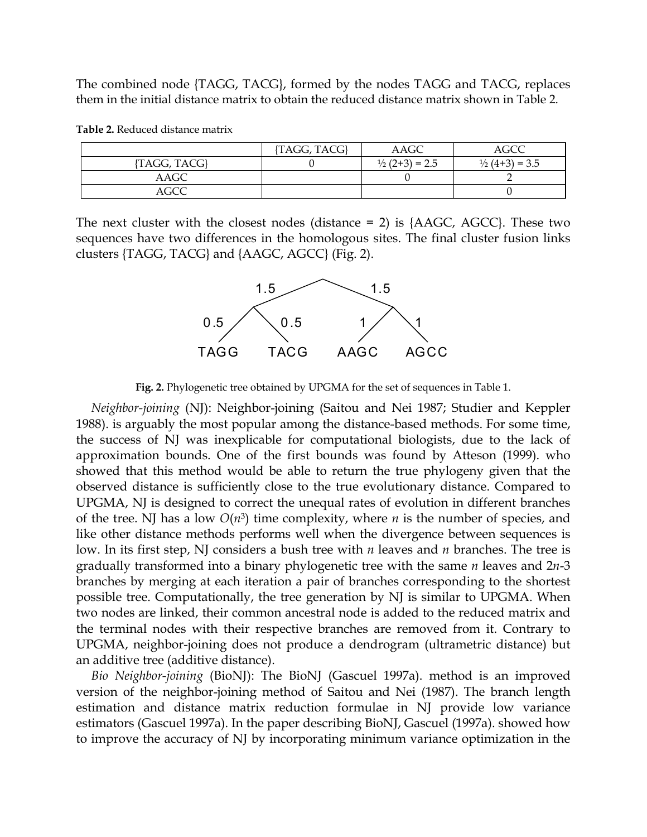The combined node {TAGG, TACG}, formed by the nodes TAGG and TACG, replaces them in the initial distance matrix to obtain the reduced distance matrix shown in Table 2.

**Table 2.** Reduced distance matrix

|              | {TAGG, TACG} | <b>AAGC</b>               | <b>AGCC</b>              |
|--------------|--------------|---------------------------|--------------------------|
| {TAGG, TACG} |              | $\frac{1}{2}$ (2+3) = 2.5 | $\frac{1}{2}(4+3) = 3.5$ |
| AAGC         |              |                           |                          |
| AGCC         |              |                           |                          |

The next cluster with the closest nodes (distance = 2) is {AAGC, AGCC}. These two sequences have two differences in the homologous sites. The final cluster fusion links clusters {TAGG, TACG} and {AAGC, AGCC} (Fig. 2).



**Fig. 2.** Phylogenetic tree obtained by UPGMA for the set of sequences in Table 1.

*Neighbor-joining* (NJ): Neighbor-joining (Saitou and Nei 1987; Studier and Keppler 1988). is arguably the most popular among the distance-based methods. For some time, the success of NJ was inexplicable for computational biologists, due to the lack of approximation bounds. One of the first bounds was found by Atteson (1999). who showed that this method would be able to return the true phylogeny given that the observed distance is sufficiently close to the true evolutionary distance. Compared to UPGMA, NJ is designed to correct the unequal rates of evolution in different branches of the tree. NJ has a low  $O(n^3)$  time complexity, where *n* is the number of species, and like other distance methods performs well when the divergence between sequences is low. In its first step, NJ considers a bush tree with *n* leaves and *n* branches. The tree is gradually transformed into a binary phylogenetic tree with the same *n* leaves and 2*n*-3 branches by merging at each iteration a pair of branches corresponding to the shortest possible tree. Computationally, the tree generation by NJ is similar to UPGMA. When two nodes are linked, their common ancestral node is added to the reduced matrix and the terminal nodes with their respective branches are removed from it. Contrary to UPGMA, neighbor-joining does not produce a dendrogram (ultrametric distance) but an additive tree (additive distance).

*Bio Neighbor-joining* (BioNJ): The BioNJ (Gascuel 1997a). method is an improved version of the neighbor-joining method of Saitou and Nei (1987). The branch length estimation and distance matrix reduction formulae in NJ provide low variance estimators (Gascuel 1997a). In the paper describing BioNJ, Gascuel (1997a). showed how to improve the accuracy of NJ by incorporating minimum variance optimization in the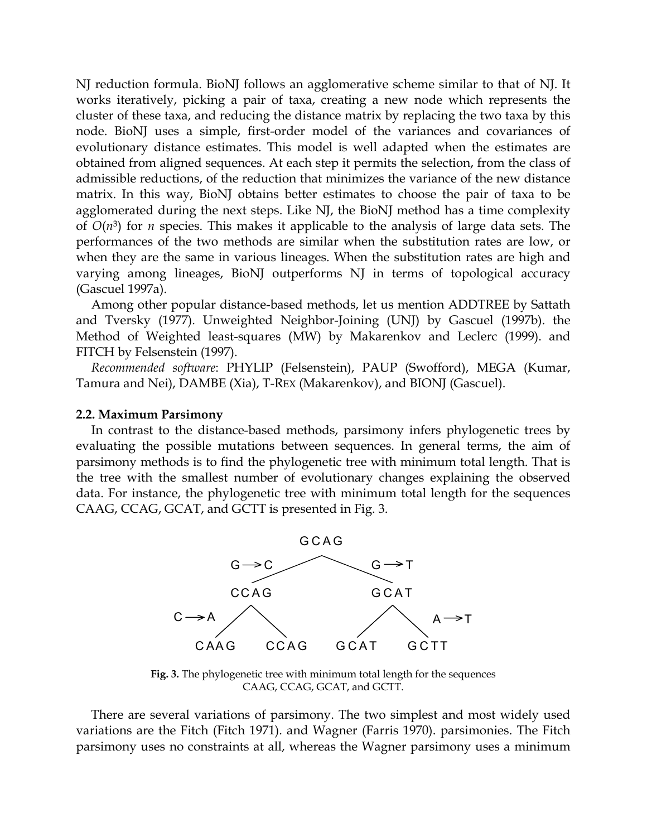NJ reduction formula. BioNJ follows an agglomerative scheme similar to that of NJ. It works iteratively, picking a pair of taxa, creating a new node which represents the cluster of these taxa, and reducing the distance matrix by replacing the two taxa by this node. BioNJ uses a simple, first-order model of the variances and covariances of evolutionary distance estimates. This model is well adapted when the estimates are obtained from aligned sequences. At each step it permits the selection, from the class of admissible reductions, of the reduction that minimizes the variance of the new distance matrix. In this way, BioNJ obtains better estimates to choose the pair of taxa to be agglomerated during the next steps. Like NJ, the BioNJ method has a time complexity of *O*(*n*3) for *n* species. This makes it applicable to the analysis of large data sets. The performances of the two methods are similar when the substitution rates are low, or when they are the same in various lineages. When the substitution rates are high and varying among lineages, BioNJ outperforms NJ in terms of topological accuracy (Gascuel 1997a).

Among other popular distance-based methods, let us mention ADDTREE by Sattath and Tversky (1977). Unweighted Neighbor-Joining (UNJ) by Gascuel (1997b). the Method of Weighted least-squares (MW) by Makarenkov and Leclerc (1999). and FITCH by Felsenstein (1997).

*Recommended software*: PHYLIP (Felsenstein), PAUP (Swofford), MEGA (Kumar, Tamura and Nei), DAMBE (Xia), T-REX (Makarenkov), and BIONJ (Gascuel).

#### **2.2. Maximum Parsimony**

In contrast to the distance-based methods, parsimony infers phylogenetic trees by evaluating the possible mutations between sequences. In general terms, the aim of parsimony methods is to find the phylogenetic tree with minimum total length. That is the tree with the smallest number of evolutionary changes explaining the observed data. For instance, the phylogenetic tree with minimum total length for the sequences CAAG, CCAG, GCAT, and GCTT is presented in Fig. 3.



**Fig. 3.** The phylogenetic tree with minimum total length for the sequences CAAG, CCAG, GCAT, and GCTT.

There are several variations of parsimony. The two simplest and most widely used variations are the Fitch (Fitch 1971). and Wagner (Farris 1970). parsimonies. The Fitch parsimony uses no constraints at all, whereas the Wagner parsimony uses a minimum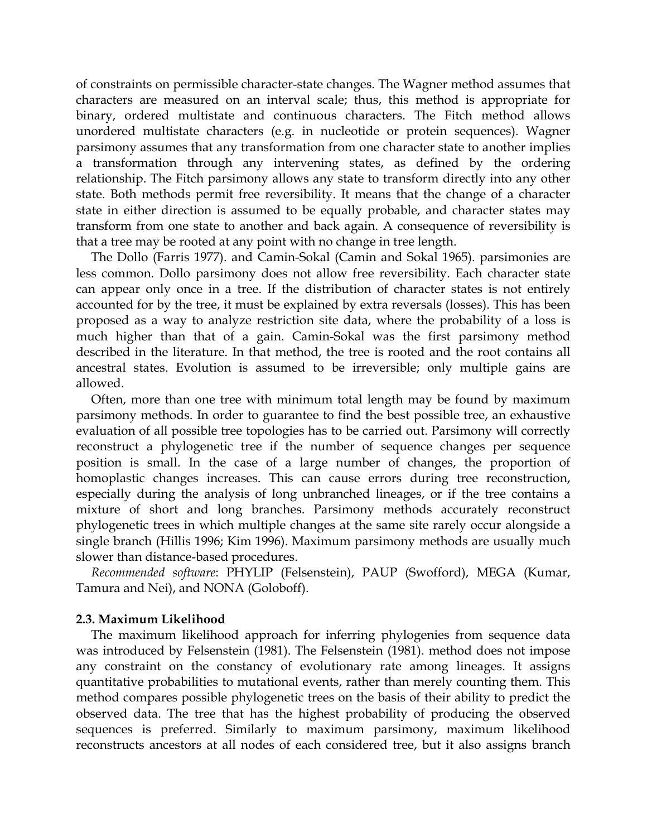of constraints on permissible character-state changes. The Wagner method assumes that characters are measured on an interval scale; thus, this method is appropriate for binary, ordered multistate and continuous characters. The Fitch method allows unordered multistate characters (e.g. in nucleotide or protein sequences). Wagner parsimony assumes that any transformation from one character state to another implies a transformation through any intervening states, as defined by the ordering relationship. The Fitch parsimony allows any state to transform directly into any other state. Both methods permit free reversibility. It means that the change of a character state in either direction is assumed to be equally probable, and character states may transform from one state to another and back again. A consequence of reversibility is that a tree may be rooted at any point with no change in tree length.

The Dollo (Farris 1977). and Camin-Sokal (Camin and Sokal 1965). parsimonies are less common. Dollo parsimony does not allow free reversibility. Each character state can appear only once in a tree. If the distribution of character states is not entirely accounted for by the tree, it must be explained by extra reversals (losses). This has been proposed as a way to analyze restriction site data, where the probability of a loss is much higher than that of a gain. Camin-Sokal was the first parsimony method described in the literature. In that method, the tree is rooted and the root contains all ancestral states. Evolution is assumed to be irreversible; only multiple gains are allowed.

Often, more than one tree with minimum total length may be found by maximum parsimony methods. In order to guarantee to find the best possible tree, an exhaustive evaluation of all possible tree topologies has to be carried out. Parsimony will correctly reconstruct a phylogenetic tree if the number of sequence changes per sequence position is small. In the case of a large number of changes, the proportion of homoplastic changes increases. This can cause errors during tree reconstruction, especially during the analysis of long unbranched lineages, or if the tree contains a mixture of short and long branches. Parsimony methods accurately reconstruct phylogenetic trees in which multiple changes at the same site rarely occur alongside a single branch (Hillis 1996; Kim 1996). Maximum parsimony methods are usually much slower than distance-based procedures.

*Recommended software*: PHYLIP (Felsenstein), PAUP (Swofford), MEGA (Kumar, Tamura and Nei), and NONA (Goloboff).

## **2.3. Maximum Likelihood**

The maximum likelihood approach for inferring phylogenies from sequence data was introduced by Felsenstein (1981). The Felsenstein (1981). method does not impose any constraint on the constancy of evolutionary rate among lineages. It assigns quantitative probabilities to mutational events, rather than merely counting them. This method compares possible phylogenetic trees on the basis of their ability to predict the observed data. The tree that has the highest probability of producing the observed sequences is preferred. Similarly to maximum parsimony, maximum likelihood reconstructs ancestors at all nodes of each considered tree, but it also assigns branch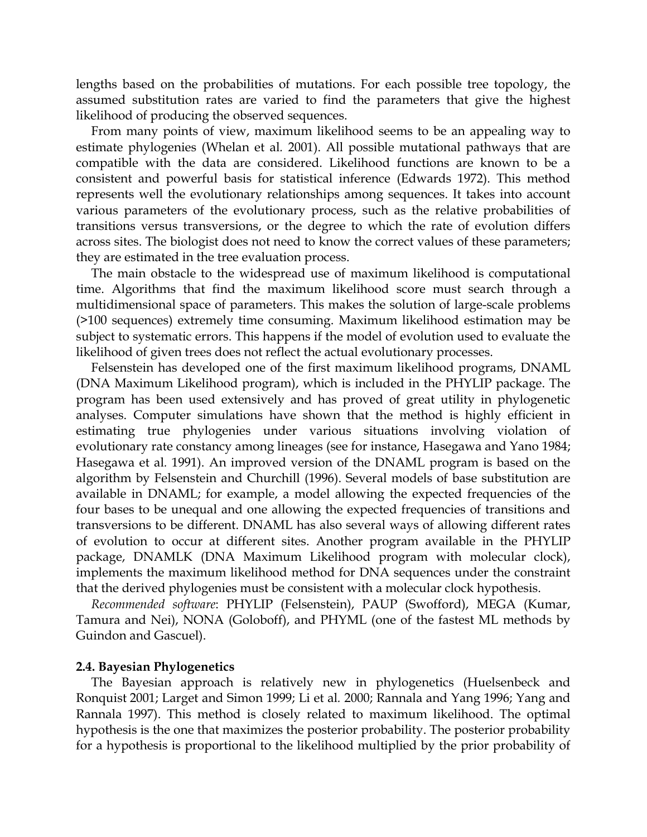lengths based on the probabilities of mutations. For each possible tree topology, the assumed substitution rates are varied to find the parameters that give the highest likelihood of producing the observed sequences.

From many points of view, maximum likelihood seems to be an appealing way to estimate phylogenies (Whelan et al*.* 2001). All possible mutational pathways that are compatible with the data are considered. Likelihood functions are known to be a consistent and powerful basis for statistical inference (Edwards 1972). This method represents well the evolutionary relationships among sequences. It takes into account various parameters of the evolutionary process, such as the relative probabilities of transitions versus transversions, or the degree to which the rate of evolution differs across sites. The biologist does not need to know the correct values of these parameters; they are estimated in the tree evaluation process.

The main obstacle to the widespread use of maximum likelihood is computational time. Algorithms that find the maximum likelihood score must search through a multidimensional space of parameters. This makes the solution of large-scale problems (>100 sequences) extremely time consuming. Maximum likelihood estimation may be subject to systematic errors. This happens if the model of evolution used to evaluate the likelihood of given trees does not reflect the actual evolutionary processes.

Felsenstein has developed one of the first maximum likelihood programs, DNAML (DNA Maximum Likelihood program), which is included in the PHYLIP package. The program has been used extensively and has proved of great utility in phylogenetic analyses. Computer simulations have shown that the method is highly efficient in estimating true phylogenies under various situations involving violation of evolutionary rate constancy among lineages (see for instance, Hasegawa and Yano 1984; Hasegawa et al*.* 1991). An improved version of the DNAML program is based on the algorithm by Felsenstein and Churchill (1996). Several models of base substitution are available in DNAML; for example, a model allowing the expected frequencies of the four bases to be unequal and one allowing the expected frequencies of transitions and transversions to be different. DNAML has also several ways of allowing different rates of evolution to occur at different sites. Another program available in the PHYLIP package, DNAMLK (DNA Maximum Likelihood program with molecular clock), implements the maximum likelihood method for DNA sequences under the constraint that the derived phylogenies must be consistent with a molecular clock hypothesis.

*Recommended software*: PHYLIP (Felsenstein), PAUP (Swofford), MEGA (Kumar, Tamura and Nei), NONA (Goloboff), and PHYML (one of the fastest ML methods by Guindon and Gascuel).

#### **2.4. Bayesian Phylogenetics**

The Bayesian approach is relatively new in phylogenetics (Huelsenbeck and Ronquist 2001; Larget and Simon 1999; Li et al*.* 2000; Rannala and Yang 1996; Yang and Rannala 1997). This method is closely related to maximum likelihood. The optimal hypothesis is the one that maximizes the posterior probability. The posterior probability for a hypothesis is proportional to the likelihood multiplied by the prior probability of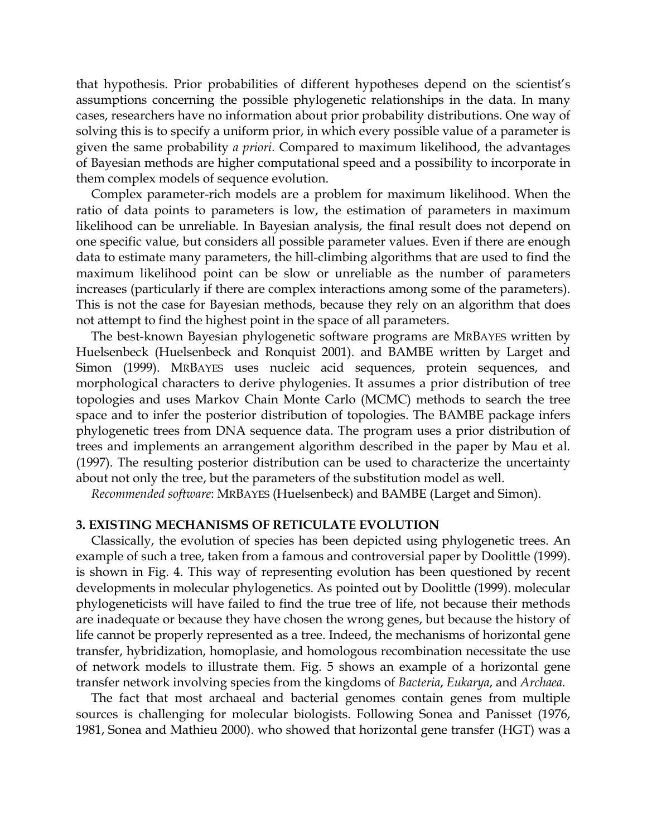that hypothesis. Prior probabilities of different hypotheses depend on the scientist's assumptions concerning the possible phylogenetic relationships in the data. In many cases, researchers have no information about prior probability distributions. One way of solving this is to specify a uniform prior, in which every possible value of a parameter is given the same probability *a priori.* Compared to maximum likelihood, the advantages of Bayesian methods are higher computational speed and a possibility to incorporate in them complex models of sequence evolution.

Complex parameter-rich models are a problem for maximum likelihood. When the ratio of data points to parameters is low, the estimation of parameters in maximum likelihood can be unreliable. In Bayesian analysis, the final result does not depend on one specific value, but considers all possible parameter values. Even if there are enough data to estimate many parameters, the hill-climbing algorithms that are used to find the maximum likelihood point can be slow or unreliable as the number of parameters increases (particularly if there are complex interactions among some of the parameters). This is not the case for Bayesian methods, because they rely on an algorithm that does not attempt to find the highest point in the space of all parameters.

The best-known Bayesian phylogenetic software programs are MRBAYES written by Huelsenbeck (Huelsenbeck and Ronquist 2001). and BAMBE written by Larget and Simon (1999). MRBAYES uses nucleic acid sequences, protein sequences, and morphological characters to derive phylogenies. It assumes a prior distribution of tree topologies and uses Markov Chain Monte Carlo (MCMC) methods to search the tree space and to infer the posterior distribution of topologies. The BAMBE package infers phylogenetic trees from DNA sequence data. The program uses a prior distribution of trees and implements an arrangement algorithm described in the paper by Mau et al*.* (1997). The resulting posterior distribution can be used to characterize the uncertainty about not only the tree, but the parameters of the substitution model as well.

*Recommended software*: MRBAYES (Huelsenbeck) and BAMBE (Larget and Simon).

#### **3. EXISTING MECHANISMS OF RETICULATE EVOLUTION**

Classically, the evolution of species has been depicted using phylogenetic trees. An example of such a tree, taken from a famous and controversial paper by Doolittle (1999). is shown in Fig. 4. This way of representing evolution has been questioned by recent developments in molecular phylogenetics. As pointed out by Doolittle (1999). molecular phylogeneticists will have failed to find the true tree of life, not because their methods are inadequate or because they have chosen the wrong genes, but because the history of life cannot be properly represented as a tree. Indeed, the mechanisms of horizontal gene transfer, hybridization, homoplasie, and homologous recombination necessitate the use of network models to illustrate them. Fig. 5 shows an example of a horizontal gene transfer network involving species from the kingdoms of *Bacteria*, *Eukarya*, and *Archaea.*

The fact that most archaeal and bacterial genomes contain genes from multiple sources is challenging for molecular biologists. Following Sonea and Panisset (1976, 1981, Sonea and Mathieu 2000). who showed that horizontal gene transfer (HGT) was a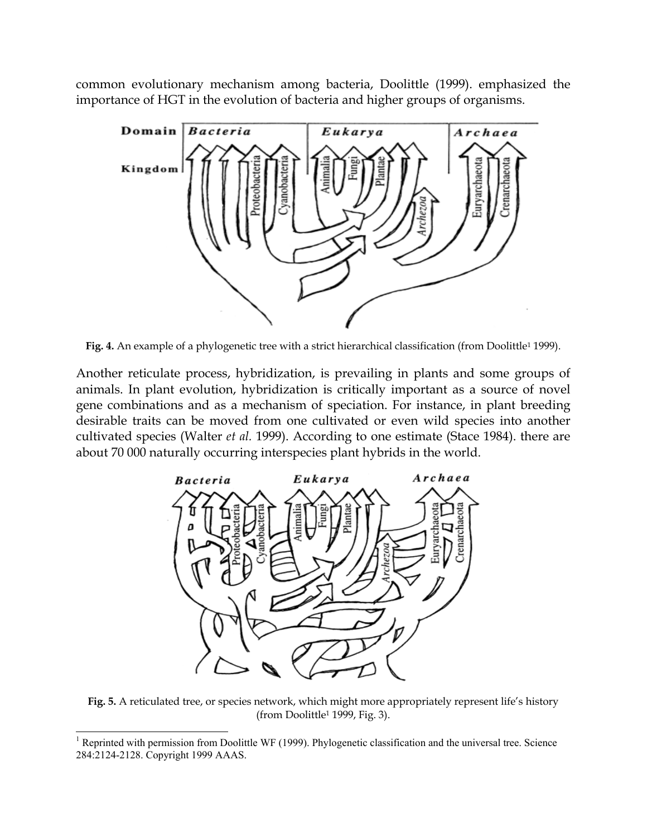common evolutionary mechanism among bacteria, Doolittle (1999). emphasized the importance of HGT in the evolution of bacteria and higher groups of organisms.



Fig. 4. An example of a phylogenetic tree with a strict hierarchical classification (from Doolittle<sup>1</sup> 1999).

Another reticulate process, hybridization, is prevailing in plants and some groups of animals. In plant evolution, hybridization is critically important as a source of novel gene combinations and as a mechanism of speciation. For instance, in plant breeding desirable traits can be moved from one cultivated or even wild species into another cultivated species (Walter *et al.* 1999). According to one estimate (Stace 1984). there are about 70 000 naturally occurring interspecies plant hybrids in the world.



**Fig. 5.** A reticulated tree, or species network, which might more appropriately represent life's history (from Doolittle1 1999, Fig. 3).

<span id="page-9-0"></span> $\frac{1}{1}$ Reprinted with permission from Doolittle WF (1999). Phylogenetic classification and the universal tree. Science 284:2124-2128. Copyright 1999 AAAS.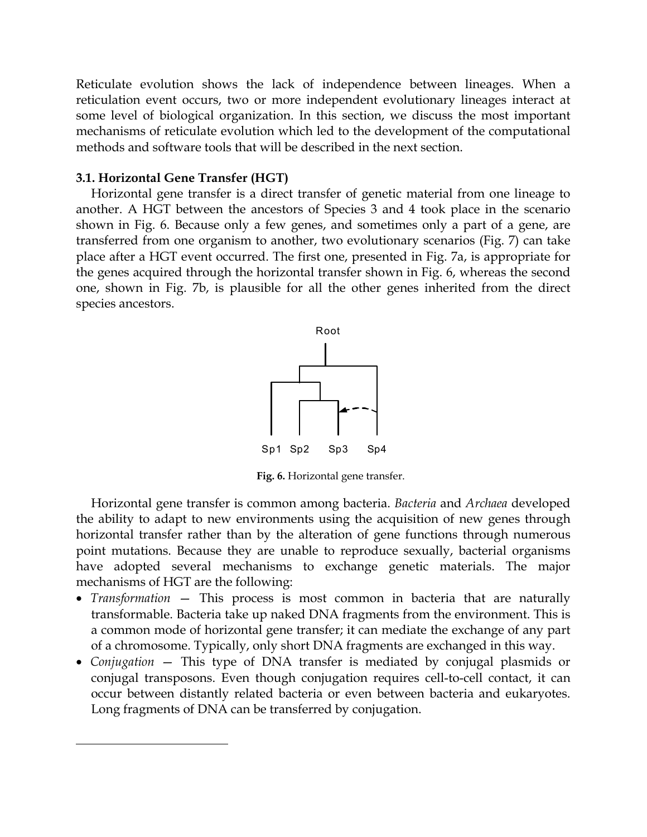[Re](#page-10-0)ticulate evolution shows the lack of independence between lineages. When a reticulation event occurs, two or more independent evolutionary lineages interact at some level of biological organization. In this section, we discuss the most important mechanisms of reticulate evolution which led to the development of the computational methods and software tools that will be described in the next section.

## **3.1. Horizontal Gene Transfer (HGT)**

<span id="page-10-0"></span>-

Horizontal gene transfer is a direct transfer of genetic material from one lineage to another. A HGT between the ancestors of Species 3 and 4 took place in the scenario shown in Fig. 6. Because only a few genes, and sometimes only a part of a gene, are transferred from one organism to another, two evolutionary scenarios (Fig. 7) can take place after a HGT event occurred. The first one, presented in Fig. 7a, is appropriate for the genes acquired through the horizontal transfer shown in Fig. 6, whereas the second one, shown in Fig. 7b, is plausible for all the other genes inherited from the direct species ancestors.



**Fig. 6.** Horizontal gene transfer.

Horizontal gene transfer is common among bacteria. *Bacteria* and *Archaea* developed the ability to adapt to new environments using the acquisition of new genes through horizontal transfer rather than by the alteration of gene functions through numerous point mutations. Because they are unable to reproduce sexually, bacterial organisms have adopted several mechanisms to exchange genetic materials. The major mechanisms of HGT are the following:

- *Transformation* This process is most common in bacteria that are naturally transformable. Bacteria take up naked DNA fragments from the environment. This is a common mode of horizontal gene transfer; it can mediate the exchange of any part of a chromosome. Typically, only short DNA fragments are exchanged in this way.
- *Conjugation* This type of DNA transfer is mediated by conjugal plasmids or conjugal transposons. Even though conjugation requires cell-to-cell contact, it can occur between distantly related bacteria or even between bacteria and eukaryotes. Long fragments of DNA can be transferred by conjugation.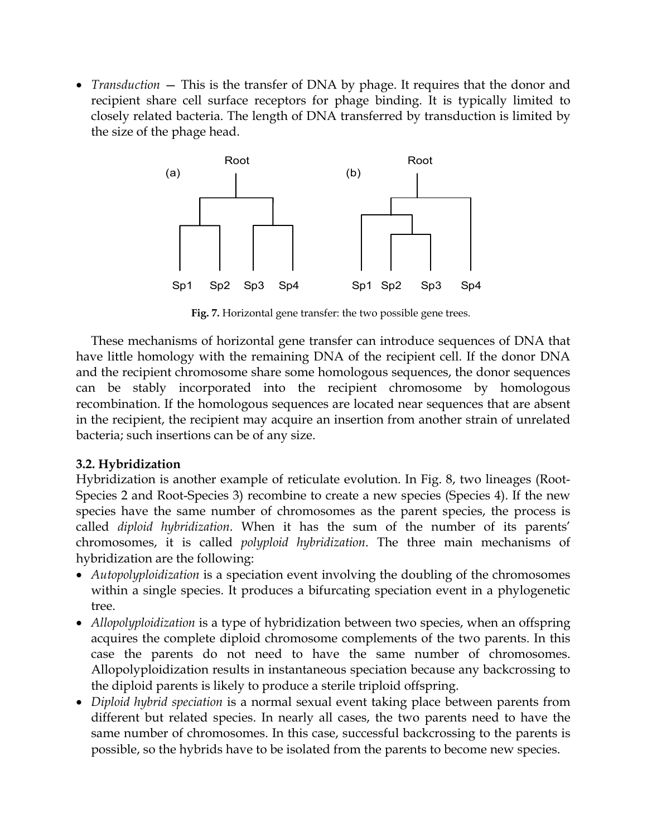• *Transduction* — This is the transfer of DNA by phage. It requires that the donor and recipient share cell surface receptors for phage binding. It is typically limited to closely related bacteria. The length of DNA transferred by transduction is limited by the size of the phage head.



**Fig. 7.** Horizontal gene transfer: the two possible gene trees.

These mechanisms of horizontal gene transfer can introduce sequences of DNA that have little homology with the remaining DNA of the recipient cell. If the donor DNA and the recipient chromosome share some homologous sequences, the donor sequences can be stably incorporated into the recipient chromosome by homologous recombination. If the homologous sequences are located near sequences that are absent in the recipient, the recipient may acquire an insertion from another strain of unrelated bacteria; such insertions can be of any size.

# **3.2. Hybridization**

Hybridization is another example of reticulate evolution. In Fig. 8, two lineages (Root-Species 2 and Root-Species 3) recombine to create a new species (Species 4). If the new species have the same number of chromosomes as the parent species, the process is called *diploid hybridization*. When it has the sum of the number of its parents' chromosomes, it is called *polyploid hybridization*. The three main mechanisms of hybridization are the following:

- *Autopolyploidization* is a speciation event involving the doubling of the chromosomes within a single species. It produces a bifurcating speciation event in a phylogenetic tree.
- *Allopolyploidization* is a type of hybridization between two species, when an offspring acquires the complete diploid chromosome complements of the two parents. In this case the parents do not need to have the same number of chromosomes. Allopolyploidization results in instantaneous speciation because any backcrossing to the diploid parents is likely to produce a sterile triploid offspring.
- *Diploid hybrid speciation* is a normal sexual event taking place between parents from different but related species. In nearly all cases, the two parents need to have the same number of chromosomes. In this case, successful backcrossing to the parents is possible, so the hybrids have to be isolated from the parents to become new species.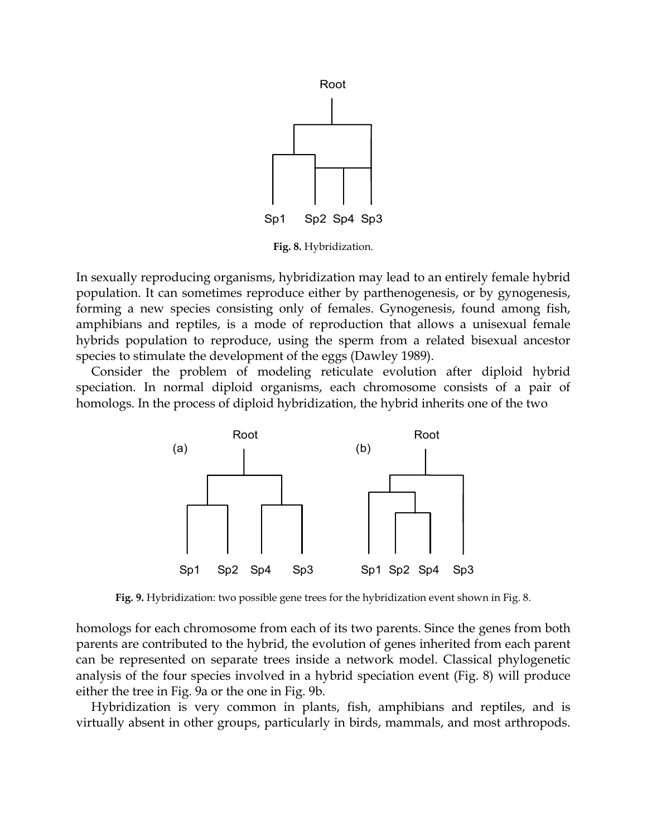

**Fig. 8.** Hybridization.

In sexually reproducing organisms, hybridization may lead to an entirely female hybrid population. It can sometimes reproduce either by parthenogenesis, or by gynogenesis, forming a new species consisting only of females. Gynogenesis, found among fish, amphibians and reptiles, is a mode of reproduction that allows a unisexual female hybrids population to reproduce, using the sperm from a related bisexual ancestor species to stimulate the development of the eggs (Dawley 1989).

Consider the problem of modeling reticulate evolution after diploid hybrid speciation. In normal diploid organisms, each chromosome consists of a pair of homologs. In the process of diploid hybridization, the hybrid inherits one of the two



**Fig. 9.** Hybridization: two possible gene trees for the hybridization event shown in Fig. 8.

homologs for each chromosome from each of its two parents. Since the genes from both parents are contributed to the hybrid, the evolution of genes inherited from each parent can be represented on separate trees inside a network model. Classical phylogenetic analysis of the four species involved in a hybrid speciation event (Fig. 8) will produce either the tree in Fig. 9a or the one in Fig. 9b.

Hybridization is very common in plants, fish, amphibians and reptiles, and is virtually absent in other groups, particularly in birds, mammals, and most arthropods.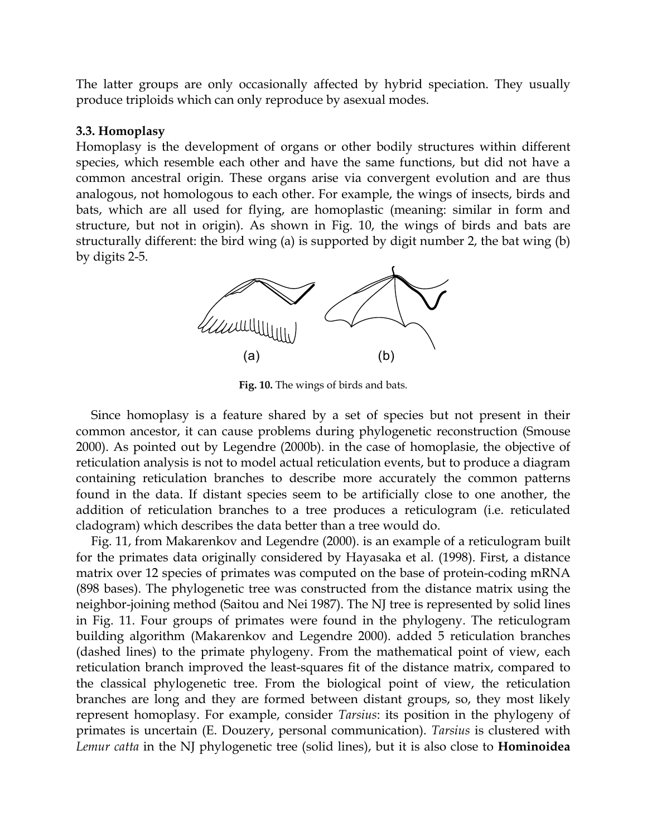The latter groups are only occasionally affected by hybrid speciation. They usually produce triploids which can only reproduce by asexual modes.

#### **3.3. Homoplasy**

Homoplasy is the development of organs or other bodily structures within different species, which resemble each other and have the same functions, but did not have a common ancestral origin. These organs arise via convergent evolution and are thus analogous, not homologous to each other. For example, the wings of insects, birds and bats, which are all used for flying, are homoplastic (meaning: similar in form and structure, but not in origin). As shown in Fig. 10, the wings of birds and bats are structurally different: the bird wing (a) is supported by digit number 2, the bat wing (b) by digits 2-5.



**Fig. 10.** The wings of birds and bats.

Since homoplasy is a feature shared by a set of species but not present in their common ancestor, it can cause problems during phylogenetic reconstruction (Smouse 2000). As pointed out by Legendre (2000b). in the case of homoplasie, the objective of reticulation analysis is not to model actual reticulation events, but to produce a diagram containing reticulation branches to describe more accurately the common patterns found in the data. If distant species seem to be artificially close to one another, the addition of reticulation branches to a tree produces a reticulogram (i.e. reticulated cladogram) which describes the data better than a tree would do.

Fig. 11, from Makarenkov and Legendre (2000). is an example of a reticulogram built for the primates data originally considered by Hayasaka et al*.* (1998). First, a distance matrix over 12 species of primates was computed on the base of protein-coding mRNA (898 bases). The phylogenetic tree was constructed from the distance matrix using the neighbor-joining method (Saitou and Nei 1987). The NJ tree is represented by solid lines in Fig. 11. Four groups of primates were found in the phylogeny. The reticulogram building algorithm (Makarenkov and Legendre 2000). added 5 reticulation branches (dashed lines) to the primate phylogeny. From the mathematical point of view, each reticulation branch improved the least-squares fit of the distance matrix, compared to the classical phylogenetic tree. From the biological point of view, the reticulation branches are long and they are formed between distant groups, so, they most likely represent homoplasy. For example, consider *Tarsius*: its position in the phylogeny of primates is uncertain (E. Douzery, personal communication). *Tarsius* is clustered with *Lemur catta* in the NJ phylogenetic tree (solid lines), but it is also close to **Hominoidea**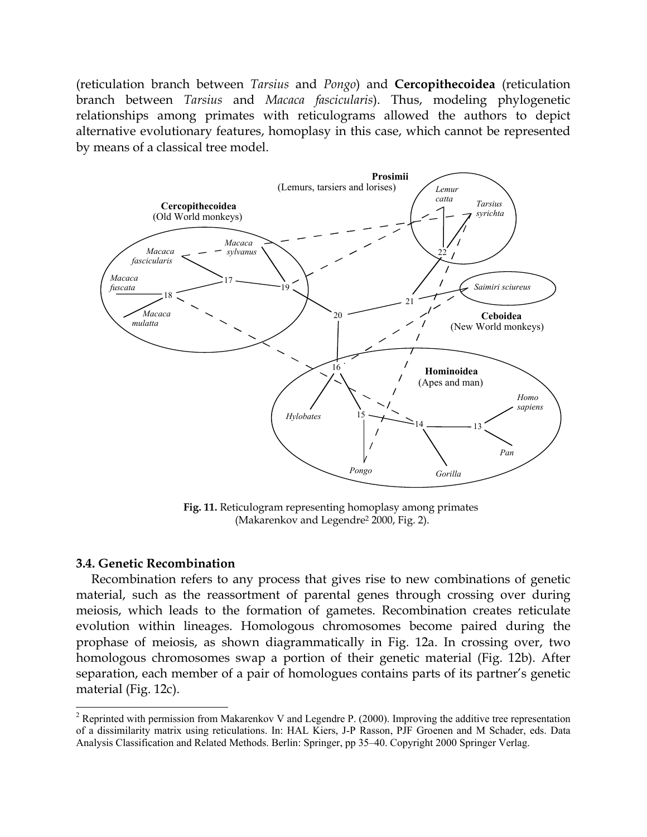(reticulation branch between *Tarsius* and *Pongo*) and **Cercopithecoidea** (reticulation branch between *Tarsius* and *Macaca fascicularis*). Thus, modeling phylogenetic relationships among primates with reticulograms allowed the authors to depict alternative evolutionary features, homoplasy in this case, which cannot be represented by means of a classical tree model.



**Fig. 11.** Reticulogram representing homoplasy among primates (Makarenkov and Legendr[e2](#page-14-0) 2000, Fig. 2).

## **3.4. Genetic Recombination**

Recombination refers to any process that gives rise to new combinations of genetic material, such as the reassortment of parental genes through crossing over during meiosis, which leads to the formation of gametes. Recombination creates reticulate evolution within lineages. Homologous chromosomes become paired during the prophase of meiosis, as shown diagrammatically in Fig. 12a. In crossing over, two homologous chromosomes swap a portion of their genetic material (Fig. 12b). After separation, each member of a pair of homologues contains parts of its partner's genetic material (Fig. 12c).

<span id="page-14-0"></span><sup>&</sup>lt;sup>2</sup> <sup>2</sup> Reprinted with permission from Makarenkov V and Legendre P. (2000). Improving the additive tree representation of a dissimilarity matrix using reticulations. In: HAL Kiers, J-P Rasson, PJF Groenen and M Schader, eds. Data Analysis Classification and Related Methods. Berlin: Springer, pp 35–40. Copyright 2000 Springer Verlag.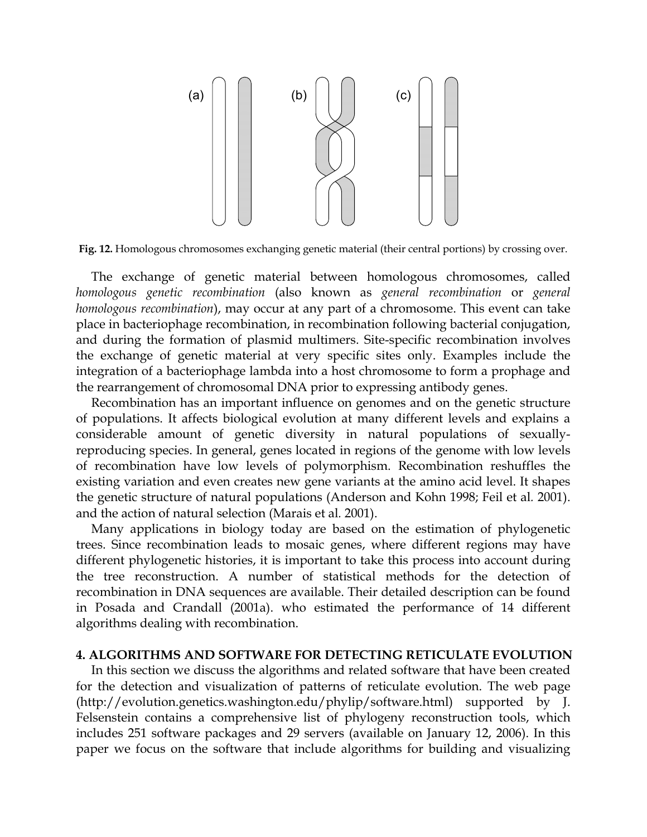

**Fig. 12.** Homologous chromosomes exchanging genetic material (their central portions) by crossing over.

The exchange of genetic material between homologous chromosomes, called *homologous genetic recombination* (also known as *general recombination* or *general homologous recombination*), may occur at any part of a chromosome. This event can take place in bacteriophage recombination, in recombination following bacterial conjugation, and during the formation of plasmid multimers. Site-specific recombination involves the exchange of genetic material at very specific sites only. Examples include the integration of a bacteriophage lambda into a host chromosome to form a prophage and the rearrangement of chromosomal DNA prior to expressing antibody genes.

Recombination has an important influence on genomes and on the genetic structure of populations. It affects biological evolution at many different levels and explains a considerable amount of genetic diversity in natural populations of sexuallyreproducing species. In general, genes located in regions of the genome with low levels of recombination have low levels of polymorphism. Recombination reshuffles the existing variation and even creates new gene variants at the amino acid level. It shapes the genetic structure of natural populations (Anderson and Kohn 1998; Feil et al*.* 2001). and the action of natural selection (Marais et al*.* 2001).

Many applications in biology today are based on the estimation of phylogenetic trees. Since recombination leads to mosaic genes, where different regions may have different phylogenetic histories, it is important to take this process into account during the tree reconstruction. A number of statistical methods for the detection of recombination in DNA sequences are available. Their detailed description can be found in Posada and Crandall (2001a). who estimated the performance of 14 different algorithms dealing with recombination.

#### **4. ALGORITHMS AND SOFTWARE FOR DETECTING RETICULATE EVOLUTION**

In this section we discuss the algorithms and related software that have been created for the detection and visualization of patterns of reticulate evolution. The web page (http://evolution.genetics.washington.edu/phylip/software.html) supported by J. Felsenstein contains a comprehensive list of phylogeny reconstruction tools, which includes 251 software packages and 29 servers (available on January 12, 2006). In this paper we focus on the software that include algorithms for building and visualizing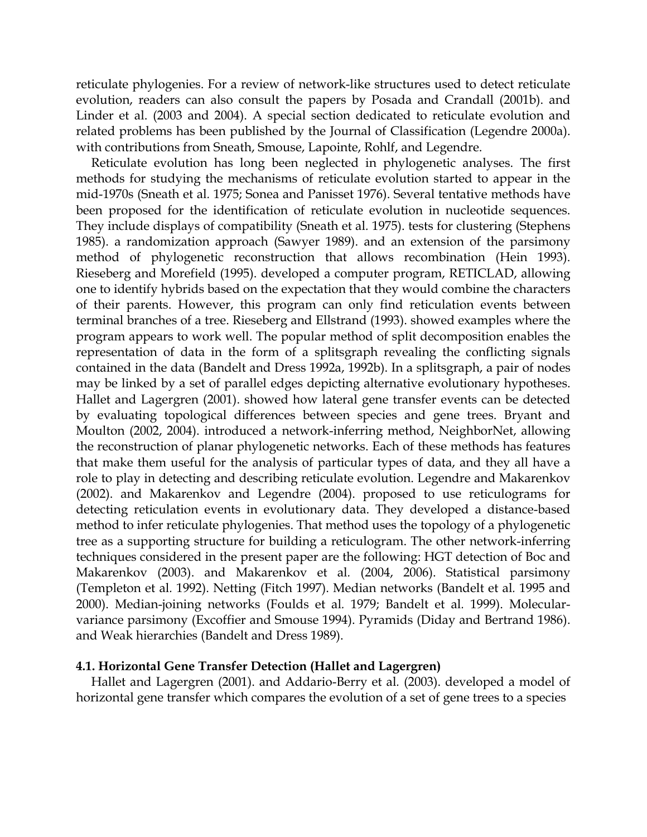reticulate phylogenies. For a review of network-like structures used to detect reticulate evolution, readers can also consult the papers by Posada and Crandall (2001b). and Linder et al. (2003 and 2004). A special section dedicated to reticulate evolution and related problems has been published by the Journal of Classification (Legendre 2000a). with contributions from Sneath, Smouse, Lapointe, Rohlf, and Legendre.

Reticulate evolution has long been neglected in phylogenetic analyses. The first methods for studying the mechanisms of reticulate evolution started to appear in the mid-1970s (Sneath et al*.* 1975; Sonea and Panisset 1976). Several tentative methods have been proposed for the identification of reticulate evolution in nucleotide sequences. They include displays of compatibility (Sneath et al*.* 1975). tests for clustering (Stephens 1985). a randomization approach (Sawyer 1989). and an extension of the parsimony method of phylogenetic reconstruction that allows recombination (Hein 1993). Rieseberg and Morefield (1995). developed a computer program, RETICLAD, allowing one to identify hybrids based on the expectation that they would combine the characters of their parents. However, this program can only find reticulation events between terminal branches of a tree. Rieseberg and Ellstrand (1993). showed examples where the program appears to work well. The popular method of split decomposition enables the representation of data in the form of a splitsgraph revealing the conflicting signals contained in the data (Bandelt and Dress 1992a, 1992b). In a splitsgraph, a pair of nodes may be linked by a set of parallel edges depicting alternative evolutionary hypotheses. Hallet and Lagergren (2001). showed how lateral gene transfer events can be detected by evaluating topological differences between species and gene trees. Bryant and Moulton (2002, 2004). introduced a network-inferring method, NeighborNet, allowing the reconstruction of planar phylogenetic networks. Each of these methods has features that make them useful for the analysis of particular types of data, and they all have a role to play in detecting and describing reticulate evolution. Legendre and Makarenkov (2002). and Makarenkov and Legendre (2004). proposed to use reticulograms for detecting reticulation events in evolutionary data. They developed a distance-based method to infer reticulate phylogenies. That method uses the topology of a phylogenetic tree as a supporting structure for building a reticulogram. The other network-inferring techniques considered in the present paper are the following: HGT detection of Boc and Makarenkov (2003). and Makarenkov et al*.* (2004, 2006). Statistical parsimony (Templeton et al*.* 1992). Netting (Fitch 1997). Median networks (Bandelt et al*.* 1995 and 2000). Median-joining networks (Foulds et al*.* 1979; Bandelt et al*.* 1999). Molecularvariance parsimony (Excoffier and Smouse 1994). Pyramids (Diday and Bertrand 1986). and Weak hierarchies (Bandelt and Dress 1989).

## **4.1. Horizontal Gene Transfer Detection (Hallet and Lagergren)**

Hallet and Lagergren (2001). and Addario-Berry et al*.* (2003). developed a model of horizontal gene transfer which compares the evolution of a set of gene trees to a species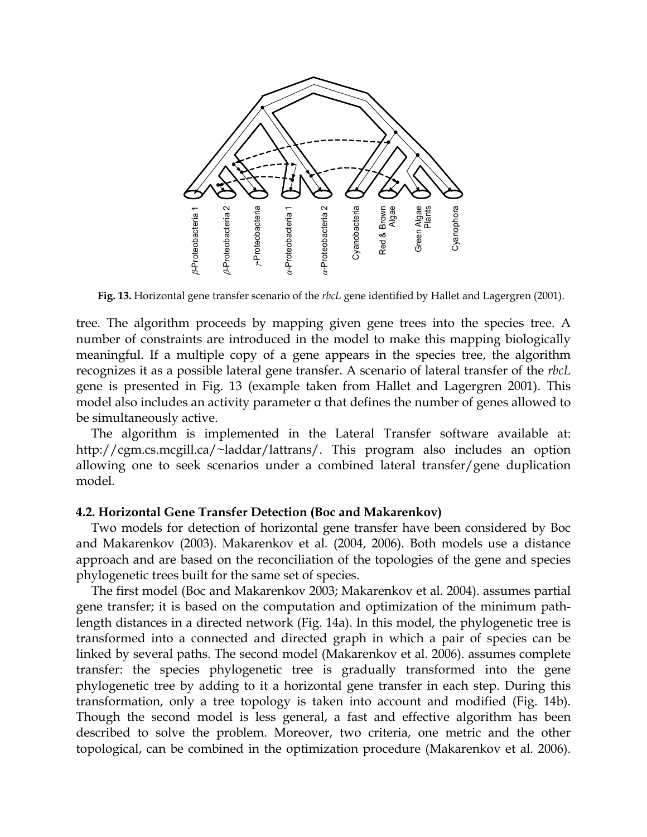

**Fig. 13.** Horizontal gene transfer scenario of the *rbcL* gene identified by Hallet and Lagergren (2001).

tree. The algorithm proceeds by mapping given gene trees into the species tree. A number of constraints are introduced in the model to make this mapping biologically meaningful. If a multiple copy of a gene appears in the species tree, the algorithm recognizes it as a possible lateral gene transfer. A scenario of lateral transfer of the *rbcL* gene is presented in Fig. 13 (example taken from Hallet and Lagergren 2001). This model also includes an activity parameter α that defines the number of genes allowed to be simultaneously active.

The algorithm is implemented in the Lateral Transfer software available at: http://cgm.cs.mcgill.ca/~laddar/lattrans/. This program also includes an option allowing one to seek scenarios under a combined lateral transfer/gene duplication model.

#### **4.2. Horizontal Gene Transfer Detection (Boc and Makarenkov)**

Two models for detection of horizontal gene transfer have been considered by Boc and Makarenkov (2003). Makarenkov et al*.* (2004, 2006). Both models use a distance approach and are based on the reconciliation of the topologies of the gene and species phylogenetic trees built for the same set of species.

The first model (Boc and Makarenkov 2003; Makarenkov et al*.* 2004). assumes partial gene transfer; it is based on the computation and optimization of the minimum pathlength distances in a directed network (Fig. 14a). In this model, the phylogenetic tree is transformed into a connected and directed graph in which a pair of species can be linked by several paths. The second model (Makarenkov et al*.* 2006). assumes complete transfer: the species phylogenetic tree is gradually transformed into the gene phylogenetic tree by adding to it a horizontal gene transfer in each step. During this transformation, only a tree topology is taken into account and modified (Fig. 14b). Though the second model is less general, a fast and effective algorithm has been described to solve the problem. Moreover, two criteria, one metric and the other topological, can be combined in the optimization procedure (Makarenkov et al*.* 2006).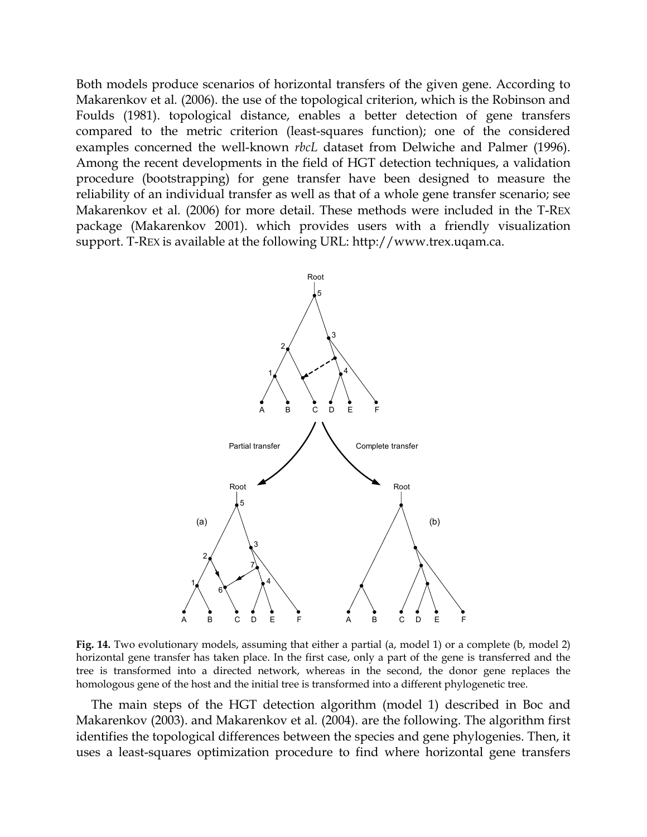Both models produce scenarios of horizontal transfers of the given gene. According to Makarenkov et al*.* (2006). the use of the topological criterion, which is the Robinson and Foulds (1981). topological distance, enables a better detection of gene transfers compared to the metric criterion (least-squares function); one of the considered examples concerned the well-known *rbcL* dataset from Delwiche and Palmer (1996). Among the recent developments in the field of HGT detection techniques, a validation procedure (bootstrapping) for gene transfer have been designed to measure the reliability of an individual transfer as well as that of a whole gene transfer scenario; see Makarenkov et al*.* (2006) for more detail. These methods were included in the T-REX package (Makarenkov 2001). which provides users with a friendly visualization support. T-REX is available at the following URL: http://www.trex.uqam.ca.



**Fig. 14.** Two evolutionary models, assuming that either a partial (a, model 1) or a complete (b, model 2) horizontal gene transfer has taken place. In the first case, only a part of the gene is transferred and the tree is transformed into a directed network, whereas in the second, the donor gene replaces the homologous gene of the host and the initial tree is transformed into a different phylogenetic tree.

The main steps of the HGT detection algorithm (model 1) described in Boc and Makarenkov (2003). and Makarenkov et al*.* (2004). are the following. The algorithm first identifies the topological differences between the species and gene phylogenies. Then, it uses a least-squares optimization procedure to find where horizontal gene transfers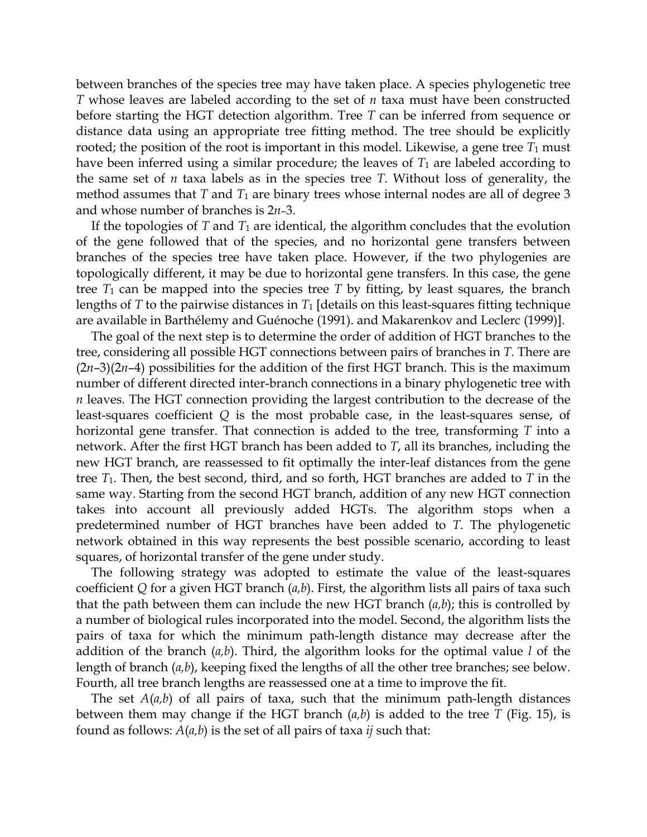between branches of the species tree may have taken place. A species phylogenetic tree *T* whose leaves are labeled according to the set of *n* taxa must have been constructed before starting the HGT detection algorithm. Tree *T* can be inferred from sequence or distance data using an appropriate tree fitting method. The tree should be explicitly rooted; the position of the root is important in this model. Likewise, a gene tree  $T_1$  must have been inferred using a similar procedure; the leaves of *T*1 are labeled according to the same set of *n* taxa labels as in the species tree *T*. Without loss of generality, the method assumes that *T* and *T*<sub>1</sub> are binary trees whose internal nodes are all of degree 3 and whose number of branches is 2*n*–3.

If the topologies of *T* and *T*1 are identical, the algorithm concludes that the evolution of the gene followed that of the species, and no horizontal gene transfers between branches of the species tree have taken place. However, if the two phylogenies are topologically different, it may be due to horizontal gene transfers. In this case, the gene tree  $T_1$  can be mapped into the species tree  $T$  by fitting, by least squares, the branch lengths of *T* to the pairwise distances in *T*1 [details on this least-squares fitting technique are available in Barthélemy and Guénoche (1991). and Makarenkov and Leclerc (1999)].

The goal of the next step is to determine the order of addition of HGT branches to the tree, considering all possible HGT connections between pairs of branches in *T*. There are (2*n*–3)(2*n*–4) possibilities for the addition of the first HGT branch. This is the maximum number of different directed inter-branch connections in a binary phylogenetic tree with *n* leaves. The HGT connection providing the largest contribution to the decrease of the least-squares coefficient *Q* is the most probable case, in the least-squares sense, of horizontal gene transfer. That connection is added to the tree, transforming *T* into a network. After the first HGT branch has been added to *T*, all its branches, including the new HGT branch, are reassessed to fit optimally the inter-leaf distances from the gene tree *T*1. Then, the best second, third, and so forth, HGT branches are added to *T* in the same way. Starting from the second HGT branch, addition of any new HGT connection takes into account all previously added HGTs. The algorithm stops when a predetermined number of HGT branches have been added to *T*. The phylogenetic network obtained in this way represents the best possible scenario, according to least squares, of horizontal transfer of the gene under study.

The following strategy was adopted to estimate the value of the least-squares coefficient *Q* for a given HGT branch (*a,b*). First, the algorithm lists all pairs of taxa such that the path between them can include the new HGT branch  $(a,b)$ ; this is controlled by a number of biological rules incorporated into the model. Second, the algorithm lists the pairs of taxa for which the minimum path-length distance may decrease after the addition of the branch (*a,b*). Third, the algorithm looks for the optimal value *l* of the length of branch (*a,b*), keeping fixed the lengths of all the other tree branches; see below. Fourth, all tree branch lengths are reassessed one at a time to improve the fit.

The set *A*(*a,b*) of all pairs of taxa, such that the minimum path-length distances between them may change if the HGT branch (*a,b*) is added to the tree *T* (Fig. 15), is found as follows: *A*(*a,b*) is the set of all pairs of taxa *ij* such that: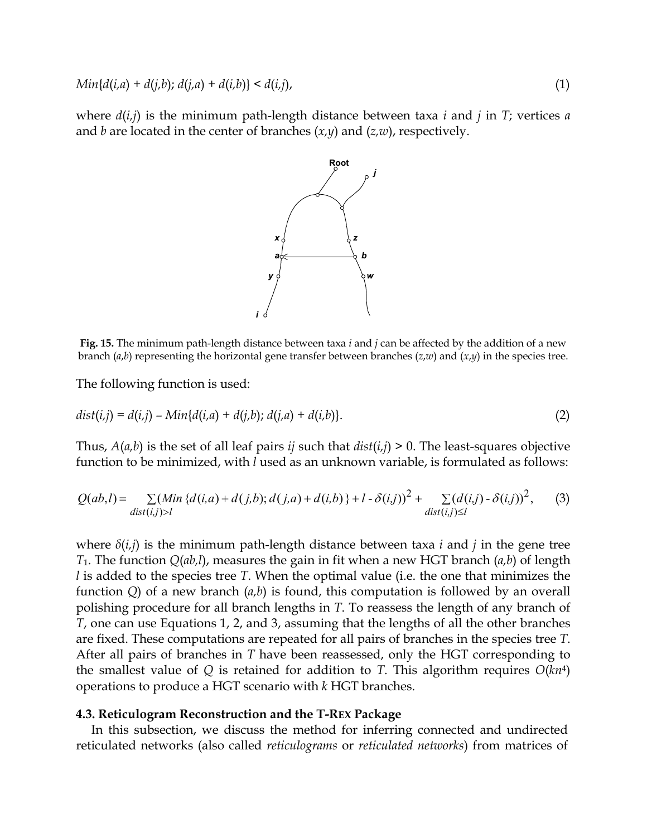$Min\{d(i,a) + d(j,b); d(j,a) + d(i,b)\} \leq d(i,j),$  (1)

where *d*(*i,j*) is the minimum path-length distance between taxa *i* and *j* in *T*; vertices *a* and *b* are located in the center of branches (*x,y*) and (*z,w*), respectively.



**Fig. 15.** The minimum path-length distance between taxa *i* and *j* can be affected by the addition of a new branch  $(a,b)$  representing the horizontal gene transfer between branches  $(z,w)$  and  $(x,y)$  in the species tree.

The following function is used:

$$
dist(i,j) = d(i,j) - Min{d(i,a) + d(j,b); d(j,a) + d(i,b)}.
$$
\n(2)

Thus, *A*(*a,b*) is the set of all leaf pairs *ij* such that *dist*(*i,j*) > 0. The least-squares objective function to be minimized, with *l* used as an unknown variable, is formulated as follows:

$$
Q(ab,l) = \sum_{dist(i,j)>l} (Min \{d(i,a) + d(j,b); d(j,a) + d(i,b)\} + l - \delta(i,j))^2 + \sum_{dist(i,j)\leq l} (d(i,j) - \delta(i,j))^2, \tag{3}
$$

where *δ*(*i,j*) is the minimum path-length distance between taxa *i* and *j* in the gene tree *T*1. The function *Q*(*ab,l*), measures the gain in fit when a new HGT branch (*a,b*) of length *l* is added to the species tree *T*. When the optimal value (i.e. the one that minimizes the function *Q*) of a new branch (*a,b*) is found, this computation is followed by an overall polishing procedure for all branch lengths in *T*. To reassess the length of any branch of *T*, one can use Equations 1, 2, and 3, assuming that the lengths of all the other branches are fixed. These computations are repeated for all pairs of branches in the species tree *T*. After all pairs of branches in *T* have been reassessed, only the HGT corresponding to the smallest value of *Q* is retained for addition to *T*. This algorithm requires *O*(*kn*4) operations to produce a HGT scenario with *k* HGT branches.

#### **4.3. Reticulogram Reconstruction and the T-REX Package**

In this subsection, we discuss the method for inferring connected and undirected reticulated networks (also called *reticulograms* or *reticulated networks*) from matrices of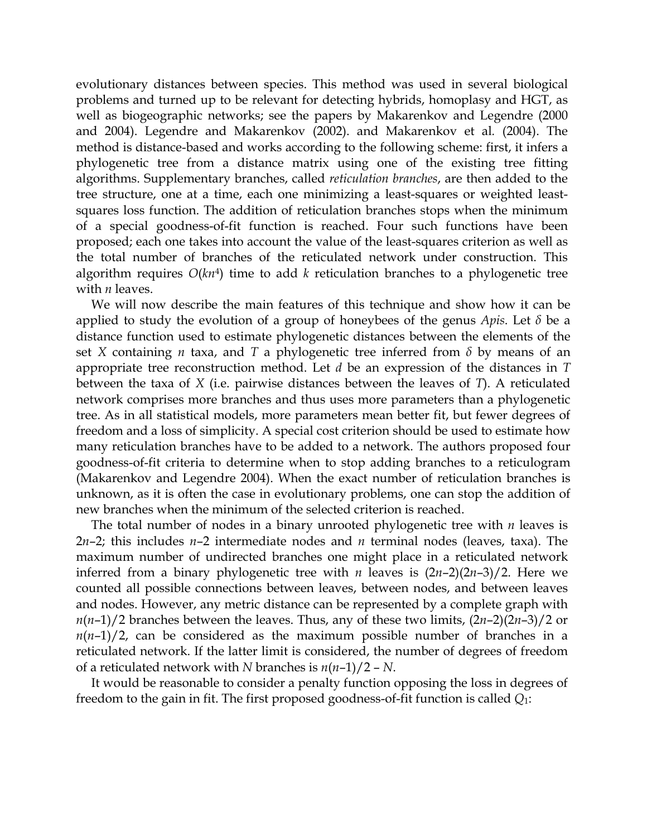evolutionary distances between species. This method was used in several biological problems and turned up to be relevant for detecting hybrids, homoplasy and HGT, as well as biogeographic networks; see the papers by Makarenkov and Legendre (2000 and 2004). Legendre and Makarenkov (2002). and Makarenkov et al*.* (2004). The method is distance-based and works according to the following scheme: first, it infers a phylogenetic tree from a distance matrix using one of the existing tree fitting algorithms. Supplementary branches, called *reticulation branches*, are then added to the tree structure, one at a time, each one minimizing a least-squares or weighted leastsquares loss function. The addition of reticulation branches stops when the minimum of a special goodness-of-fit function is reached. Four such functions have been proposed; each one takes into account the value of the least-squares criterion as well as the total number of branches of the reticulated network under construction. This algorithm requires  $O(kn^4)$  time to add *k* reticulation branches to a phylogenetic tree with *n* leaves.

We will now describe the main features of this technique and show how it can be applied to study the evolution of a group of honeybees of the genus *Apis*. Let *δ* be a distance function used to estimate phylogenetic distances between the elements of the set *X* containing *n* taxa, and *T* a phylogenetic tree inferred from *δ* by means of an appropriate tree reconstruction method. Let *d* be an expression of the distances in *T* between the taxa of *X* (i.e. pairwise distances between the leaves of *T*). A reticulated network comprises more branches and thus uses more parameters than a phylogenetic tree. As in all statistical models, more parameters mean better fit, but fewer degrees of freedom and a loss of simplicity. A special cost criterion should be used to estimate how many reticulation branches have to be added to a network. The authors proposed four goodness-of-fit criteria to determine when to stop adding branches to a reticulogram (Makarenkov and Legendre 2004). When the exact number of reticulation branches is unknown, as it is often the case in evolutionary problems, one can stop the addition of new branches when the minimum of the selected criterion is reached.

The total number of nodes in a binary unrooted phylogenetic tree with *n* leaves is 2*n*–2; this includes *n*–2 intermediate nodes and *n* terminal nodes (leaves, taxa). The maximum number of undirected branches one might place in a reticulated network inferred from a binary phylogenetic tree with *n* leaves is  $(2n-2)(2n-3)/2$ . Here we counted all possible connections between leaves, between nodes, and between leaves and nodes. However, any metric distance can be represented by a complete graph with  $n(n-1)/2$  branches between the leaves. Thus, any of these two limits,  $(2n-2)(2n-3)/2$  or  $n(n-1)/2$ , can be considered as the maximum possible number of branches in a reticulated network. If the latter limit is considered, the number of degrees of freedom of a reticulated network with *N* branches is *n*(*n*–1)/2 – *N*.

It would be reasonable to consider a penalty function opposing the loss in degrees of freedom to the gain in fit. The first proposed goodness-of-fit function is called *Q*1: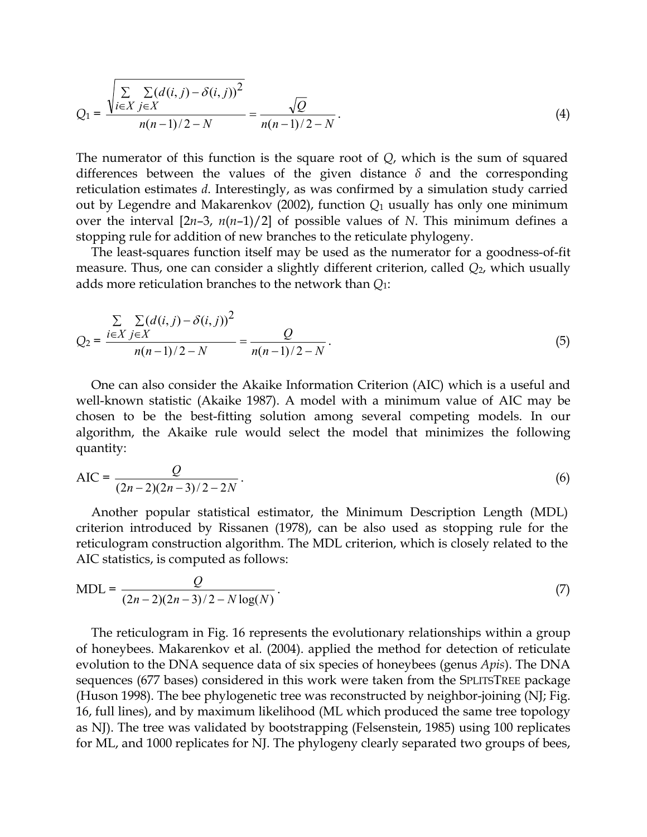$$
Q_1 = \frac{\sqrt{\sum_{i \in X} \sum_{j \in X} (d(i, j) - \delta(i, j))^2}}{n(n-1)/2 - N} = \frac{\sqrt{Q}}{n(n-1)/2 - N}.
$$
\n(4)

The numerator of this function is the square root of *Q*, which is the sum of squared differences between the values of the given distance *δ* and the corresponding reticulation estimates *d*. Interestingly, as was confirmed by a simulation study carried out by Legendre and Makarenkov (2002), function *Q*1 usually has only one minimum over the interval [2*n*–3, *n*(*n*–1)/2] of possible values of *N*. This minimum defines a stopping rule for addition of new branches to the reticulate phylogeny.

The least-squares function itself may be used as the numerator for a goodness-of-fit measure. Thus, one can consider a slightly different criterion, called *Q*2, which usually adds more reticulation branches to the network than *Q*1:

$$
Q_2 = \frac{\sum\limits_{i \in X} \sum\limits_{j \in X} (d(i, j) - \delta(i, j))^2}{n(n-1)/2 - N} = \frac{Q}{n(n-1)/2 - N}.
$$
\n(5)

One can also consider the Akaike Information Criterion (AIC) which is a useful and well-known statistic (Akaike 1987). A model with a minimum value of AIC may be chosen to be the best-fitting solution among several competing models. In our algorithm, the Akaike rule would select the model that minimizes the following quantity:

$$
AIC = \frac{Q}{(2n-2)(2n-3)/2 - 2N}.
$$
\n(6)

Another popular statistical estimator, the Minimum Description Length (MDL) criterion introduced by Rissanen (1978), can be also used as stopping rule for the reticulogram construction algorithm. The MDL criterion, which is closely related to the AIC statistics, is computed as follows:

MDL = 
$$
\frac{Q}{(2n-2)(2n-3)/2 - N \log(N)}
$$
 (7)

The reticulogram in Fig. 16 represents the evolutionary relationships within a group of honeybees. Makarenkov et al*.* (2004). applied the method for detection of reticulate evolution to the DNA sequence data of six species of honeybees (genus *Apis*). The DNA sequences (677 bases) considered in this work were taken from the SPLITSTREE package (Huson 1998). The bee phylogenetic tree was reconstructed by neighbor-joining (NJ; Fig. 16, full lines), and by maximum likelihood (ML which produced the same tree topology as NJ). The tree was validated by bootstrapping (Felsenstein, 1985) using 100 replicates for ML, and 1000 replicates for NJ. The phylogeny clearly separated two groups of bees,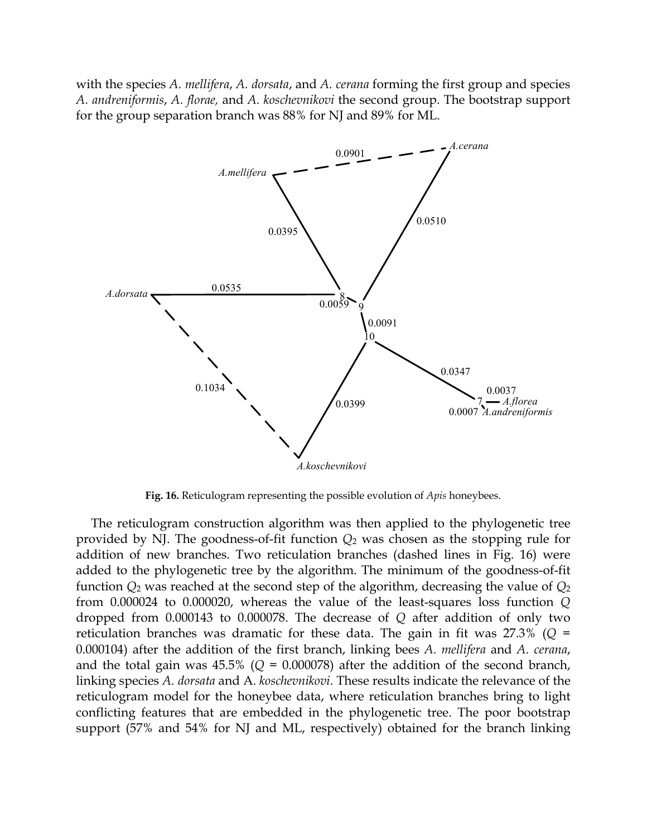with the species *A. mellifera*, *A. dorsata*, and *A. cerana* forming the first group and species *A. andreniformis*, *A. florae,* and *A. koschevnikovi* the second group. The bootstrap support for the group separation branch was 88% for NJ and 89% for ML.



**Fig. 16.** Reticulogram representing the possible evolution of *Apis* honeybees.

The reticulogram construction algorithm was then applied to the phylogenetic tree provided by NJ. The goodness-of-fit function *Q*2 was chosen as the stopping rule for addition of new branches. Two reticulation branches (dashed lines in Fig. 16) were added to the phylogenetic tree by the algorithm. The minimum of the goodness-of-fit function *Q*2 was reached at the second step of the algorithm, decreasing the value of *Q*<sup>2</sup> from 0.000024 to 0.000020, whereas the value of the least-squares loss function *Q* dropped from 0.000143 to 0.000078. The decrease of *Q* after addition of only two reticulation branches was dramatic for these data. The gain in fit was 27.3% (*Q* = 0.000104) after the addition of the first branch, linking bees *A. mellifera* and *A. cerana*, and the total gain was  $45.5\%$  ( $Q = 0.000078$ ) after the addition of the second branch, linking species *A. dorsata* and A. *koschevnikovi*. These results indicate the relevance of the reticulogram model for the honeybee data, where reticulation branches bring to light conflicting features that are embedded in the phylogenetic tree. The poor bootstrap support (57% and 54% for NJ and ML, respectively) obtained for the branch linking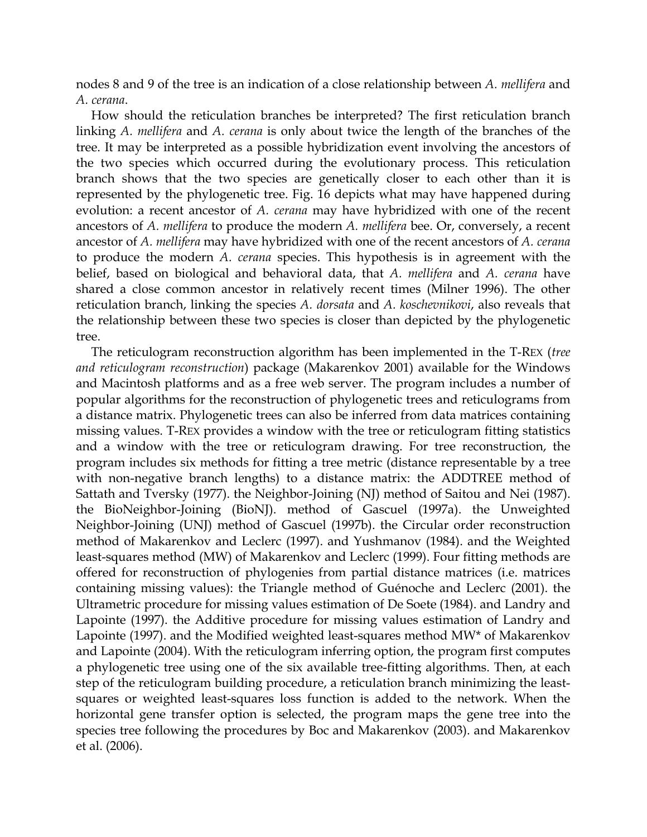nodes 8 and 9 of the tree is an indication of a close relationship between *A. mellifera* and *A. cerana*.

How should the reticulation branches be interpreted? The first reticulation branch linking *A. mellifera* and *A. cerana* is only about twice the length of the branches of the tree. It may be interpreted as a possible hybridization event involving the ancestors of the two species which occurred during the evolutionary process. This reticulation branch shows that the two species are genetically closer to each other than it is represented by the phylogenetic tree. Fig. 16 depicts what may have happened during evolution: a recent ancestor of *A. cerana* may have hybridized with one of the recent ancestors of *A. mellifera* to produce the modern *A. mellifera* bee. Or, conversely, a recent ancestor of *A. mellifera* may have hybridized with one of the recent ancestors of *A. cerana* to produce the modern *A. cerana* species. This hypothesis is in agreement with the belief, based on biological and behavioral data, that *A. mellifera* and *A. cerana* have shared a close common ancestor in relatively recent times (Milner 1996). The other reticulation branch, linking the species *A. dorsata* and *A. koschevnikovi*, also reveals that the relationship between these two species is closer than depicted by the phylogenetic tree.

The reticulogram reconstruction algorithm has been implemented in the T-REX (*tree and reticulogram reconstruction*) package (Makarenkov 2001) available for the Windows and Macintosh platforms and as a free web server. The program includes a number of popular algorithms for the reconstruction of phylogenetic trees and reticulograms from a distance matrix. Phylogenetic trees can also be inferred from data matrices containing missing values. T-REX provides a window with the tree or reticulogram fitting statistics and a window with the tree or reticulogram drawing. For tree reconstruction, the program includes six methods for fitting a tree metric (distance representable by a tree with non-negative branch lengths) to a distance matrix: the ADDTREE method of Sattath and Tversky (1977). the Neighbor-Joining (NJ) method of Saitou and Nei (1987). the BioNeighbor-Joining (BioNJ). method of Gascuel (1997a). the Unweighted Neighbor-Joining (UNJ) method of Gascuel (1997b). the Circular order reconstruction method of Makarenkov and Leclerc (1997). and Yushmanov (1984). and the Weighted least-squares method (MW) of Makarenkov and Leclerc (1999). Four fitting methods are offered for reconstruction of phylogenies from partial distance matrices (i.e. matrices containing missing values): the Triangle method of Guénoche and Leclerc (2001). the Ultrametric procedure for missing values estimation of De Soete (1984). and Landry and Lapointe (1997). the Additive procedure for missing values estimation of Landry and Lapointe (1997). and the Modified weighted least-squares method MW\* of Makarenkov and Lapointe (2004). With the reticulogram inferring option, the program first computes a phylogenetic tree using one of the six available tree-fitting algorithms. Then, at each step of the reticulogram building procedure, a reticulation branch minimizing the leastsquares or weighted least-squares loss function is added to the network. When the horizontal gene transfer option is selected, the program maps the gene tree into the species tree following the procedures by Boc and Makarenkov (2003). and Makarenkov et al. (2006).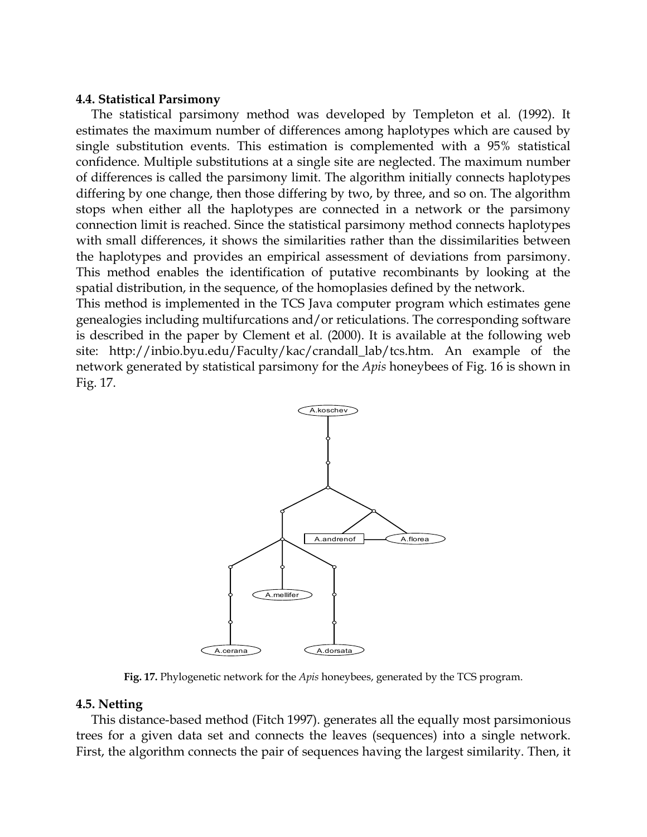#### **4.4. Statistical Parsimony**

The statistical parsimony method was developed by Templeton et al*.* (1992). It estimates the maximum number of differences among haplotypes which are caused by single substitution events. This estimation is complemented with a 95% statistical confidence. Multiple substitutions at a single site are neglected. The maximum number of differences is called the parsimony limit. The algorithm initially connects haplotypes differing by one change, then those differing by two, by three, and so on. The algorithm stops when either all the haplotypes are connected in a network or the parsimony connection limit is reached. Since the statistical parsimony method connects haplotypes with small differences, it shows the similarities rather than the dissimilarities between the haplotypes and provides an empirical assessment of deviations from parsimony. This method enables the identification of putative recombinants by looking at the spatial distribution, in the sequence, of the homoplasies defined by the network.

This method is implemented in the TCS Java computer program which estimates gene genealogies including multifurcations and/or reticulations. The corresponding software is described in the paper by Clement et al*.* (2000). It is available at the following web site: http://inbio.byu.edu/Faculty/kac/crandall\_lab/tcs.htm. An example of the network generated by statistical parsimony for the *Apis* honeybees of Fig. 16 is shown in Fig. 17.



**Fig. 17.** Phylogenetic network for the *Apis* honeybees, generated by the TCS program.

#### **4.5. Netting**

This distance-based method (Fitch 1997). generates all the equally most parsimonious trees for a given data set and connects the leaves (sequences) into a single network. First, the algorithm connects the pair of sequences having the largest similarity. Then, it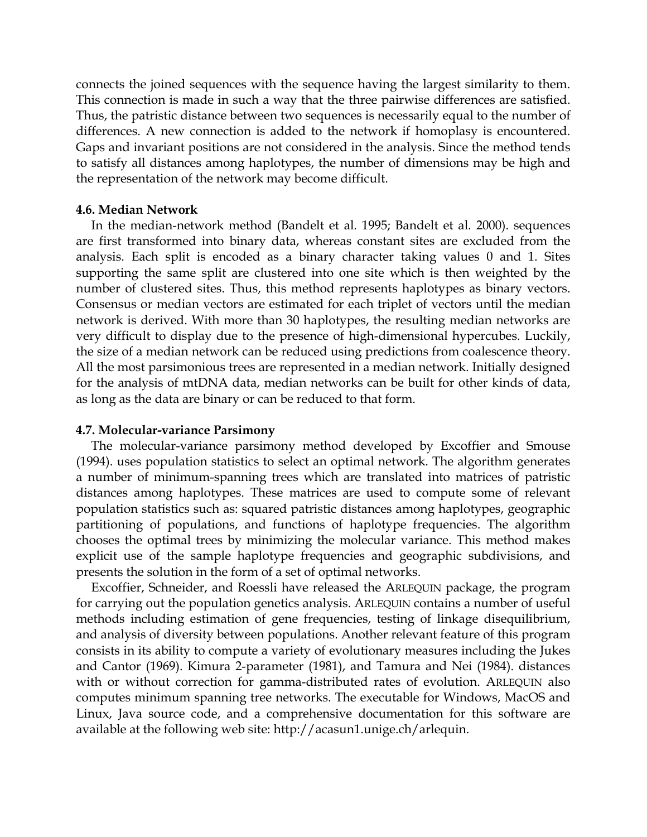connects the joined sequences with the sequence having the largest similarity to them. This connection is made in such a way that the three pairwise differences are satisfied. Thus, the patristic distance between two sequences is necessarily equal to the number of differences. A new connection is added to the network if homoplasy is encountered. Gaps and invariant positions are not considered in the analysis. Since the method tends to satisfy all distances among haplotypes, the number of dimensions may be high and the representation of the network may become difficult.

#### **4.6. Median Network**

In the median-network method (Bandelt et al*.* 1995; Bandelt et al*.* 2000). sequences are first transformed into binary data, whereas constant sites are excluded from the analysis. Each split is encoded as a binary character taking values 0 and 1. Sites supporting the same split are clustered into one site which is then weighted by the number of clustered sites. Thus, this method represents haplotypes as binary vectors. Consensus or median vectors are estimated for each triplet of vectors until the median network is derived. With more than 30 haplotypes, the resulting median networks are very difficult to display due to the presence of high-dimensional hypercubes. Luckily, the size of a median network can be reduced using predictions from coalescence theory. All the most parsimonious trees are represented in a median network. Initially designed for the analysis of mtDNA data, median networks can be built for other kinds of data, as long as the data are binary or can be reduced to that form.

#### **4.7. Molecular-variance Parsimony**

The molecular-variance parsimony method developed by Excoffier and Smouse (1994). uses population statistics to select an optimal network. The algorithm generates a number of minimum-spanning trees which are translated into matrices of patristic distances among haplotypes. These matrices are used to compute some of relevant population statistics such as: squared patristic distances among haplotypes, geographic partitioning of populations, and functions of haplotype frequencies. The algorithm chooses the optimal trees by minimizing the molecular variance. This method makes explicit use of the sample haplotype frequencies and geographic subdivisions, and presents the solution in the form of a set of optimal networks.

Excoffier, Schneider, and Roessli have released the ARLEQUIN package, the program for carrying out the population genetics analysis. ARLEQUIN contains a number of useful methods including estimation of gene frequencies, testing of linkage disequilibrium, and analysis of diversity between populations. Another relevant feature of this program consists in its ability to compute a variety of evolutionary measures including the Jukes and Cantor (1969). Kimura 2-parameter (1981), and Tamura and Nei (1984). distances with or without correction for gamma-distributed rates of evolution. ARLEQUIN also computes minimum spanning tree networks. The executable for Windows, MacOS and Linux, Java source code, and a comprehensive documentation for this software are available at the following web site: http://acasun1.unige.ch/arlequin.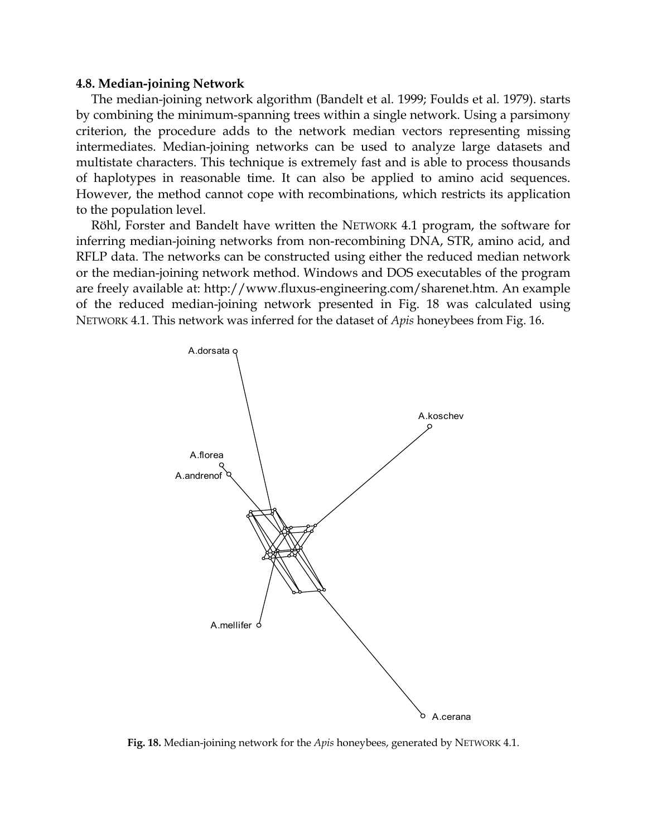#### **4.8. Median-joining Network**

The median-joining network algorithm (Bandelt et al*.* 1999; Foulds et al*.* 1979). starts by combining the minimum-spanning trees within a single network. Using a parsimony criterion, the procedure adds to the network median vectors representing missing intermediates. Median-joining networks can be used to analyze large datasets and multistate characters. This technique is extremely fast and is able to process thousands of haplotypes in reasonable time. It can also be applied to amino acid sequences. However, the method cannot cope with recombinations, which restricts its application to the population level.

Röhl, Forster and Bandelt have written the NETWORK 4.1 program, the software for inferring median-joining networks from non-recombining DNA, STR, amino acid, and RFLP data. The networks can be constructed using either the reduced median network or the median-joining network method. Windows and DOS executables of the program are freely available at: http://www.fluxus-engineering.com/sharenet.htm. An example of the reduced median-joining network presented in Fig. 18 was calculated using NETWORK 4.1. This network was inferred for the dataset of *Apis* honeybees from Fig. 16.



**Fig. 18.** Median-joining network for the *Apis* honeybees, generated by NETWORK 4.1.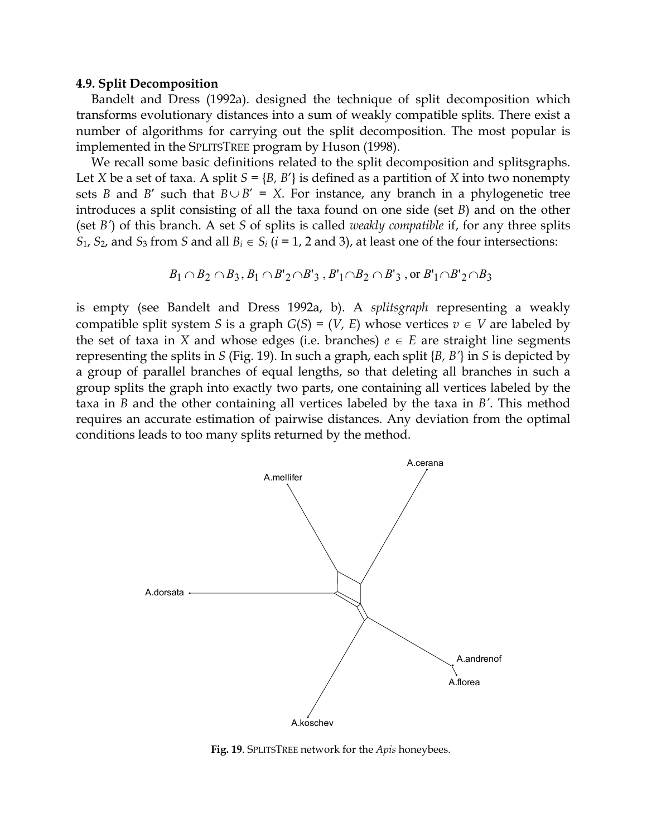#### **4.9. Split Decomposition**

Bandelt and Dress (1992a). designed the technique of split decomposition which transforms evolutionary distances into a sum of weakly compatible splits. There exist a number of algorithms for carrying out the split decomposition. The most popular is implemented in the SPLITSTREE program by Huson (1998).

We recall some basic definitions related to the split decomposition and splitsgraphs. Let *X* be a set of taxa. A split  $S = \{B, B'\}$  is defined as a partition of *X* into two nonempty sets *B* and *B'* such that  $B \cup B' = X$ . For instance, any branch in a phylogenetic tree introduces a split consisting of all the taxa found on one side (set *B*) and on the other (set *B'*) of this branch. A set *S* of splits is called *weakly compatible* if, for any three splits *S*<sub>1</sub>, *S*<sub>2</sub>, and *S*<sub>3</sub> from *S* and all *B*<sub>*i*</sub> ∈ *S*<sub>*i*</sub> ( $i = 1$ , 2 and 3), at least one of the four intersections:

$$
B_1 \cap B_2 \cap B_3
$$
,  $B_1 \cap B'_2 \cap B'_3$ ,  $B'_1 \cap B_2 \cap B'_3$ , or  $B'_1 \cap B'_2 \cap B_3$ 

is empty (see Bandelt and Dress 1992a, b). A *splitsgraph* representing a weakly compatible split system *S* is a graph  $G(S) = (V, E)$  whose vertices  $v \in V$  are labeled by the set of taxa in *X* and whose edges (i.e. branches)  $e \in E$  are straight line segments representing the splits in *S* (Fig. 19). In such a graph, each split {*B, B'*} in *S* is depicted by a group of parallel branches of equal lengths, so that deleting all branches in such a group splits the graph into exactly two parts, one containing all vertices labeled by the taxa in *B* and the other containing all vertices labeled by the taxa in *B'*. This method requires an accurate estimation of pairwise distances. Any deviation from the optimal conditions leads to too many splits returned by the method.



**Fig. 19**. SPLITSTREE network for the *Apis* honeybees.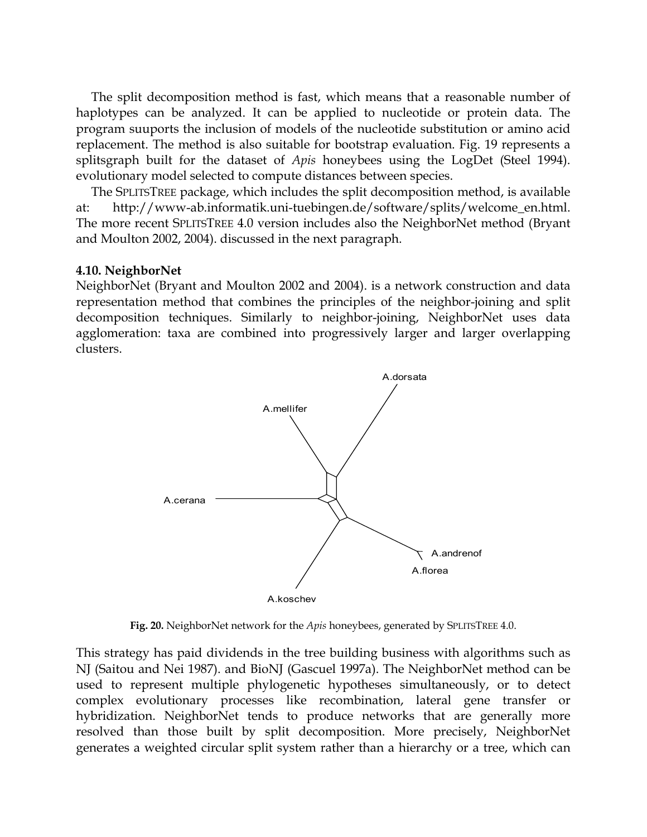The split decomposition method is fast, which means that a reasonable number of haplotypes can be analyzed. It can be applied to nucleotide or protein data. The program suuports the inclusion of models of the nucleotide substitution or amino acid replacement. The method is also suitable for bootstrap evaluation. Fig. 19 represents a splitsgraph built for the dataset of *Apis* honeybees using the LogDet (Steel 1994). evolutionary model selected to compute distances between species.

The SPLITSTREE package, which includes the split decomposition method, is available at: http://www-ab.informatik.uni-tuebingen.de/software/splits/welcome\_en.html. The more recent SPLITSTREE 4.0 version includes also the NeighborNet method (Bryant and Moulton 2002, 2004). discussed in the next paragraph.

### **4.10. NeighborNet**

NeighborNet (Bryant and Moulton 2002 and 2004). is a network construction and data representation method that combines the principles of the neighbor-joining and split decomposition techniques. Similarly to neighbor-joining, NeighborNet uses data agglomeration: taxa are combined into progressively larger and larger overlapping clusters.



**Fig. 20.** NeighborNet network for the *Apis* honeybees, generated by SPLITSTREE 4.0.

This strategy has paid dividends in the tree building business with algorithms such as NJ (Saitou and Nei 1987). and BioNJ (Gascuel 1997a). The NeighborNet method can be used to represent multiple phylogenetic hypotheses simultaneously, or to detect complex evolutionary processes like recombination, lateral gene transfer or hybridization. NeighborNet tends to produce networks that are generally more resolved than those built by split decomposition. More precisely, NeighborNet generates a weighted circular split system rather than a hierarchy or a tree, which can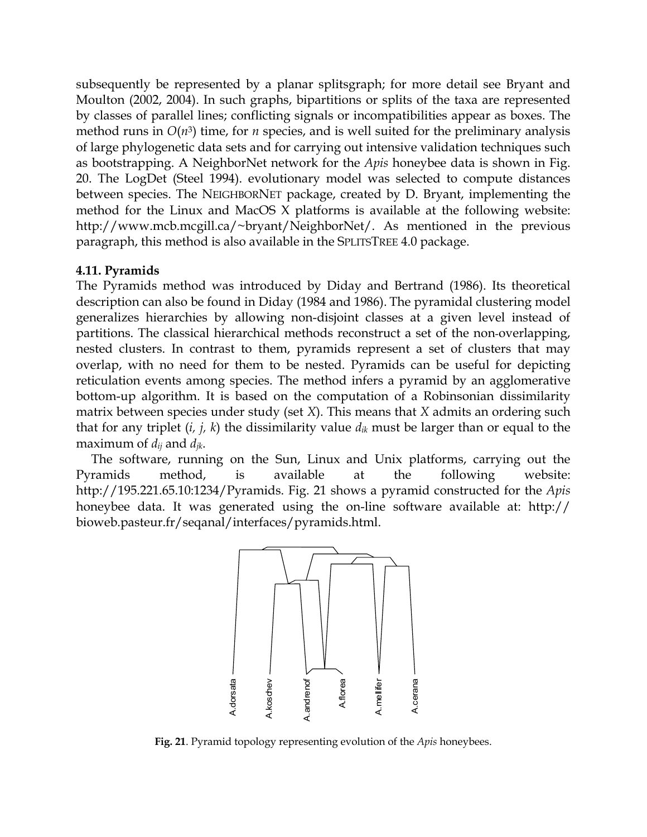subsequently be represented by a planar splitsgraph; for more detail see Bryant and Moulton (2002, 2004). In such graphs, bipartitions or splits of the taxa are represented by classes of parallel lines; conflicting signals or incompatibilities appear as boxes. The method runs in  $O(n^3)$  time, for *n* species, and is well suited for the preliminary analysis of large phylogenetic data sets and for carrying out intensive validation techniques such as bootstrapping. A NeighborNet network for the *Apis* honeybee data is shown in Fig. 20. The LogDet (Steel 1994). evolutionary model was selected to compute distances between species. The NEIGHBORNET package, created by D. Bryant, implementing the method for the Linux and MacOS X platforms is available at the following website: http://www.mcb.mcgill.ca/~bryant/NeighborNet/. As mentioned in the previous paragraph, this method is also available in the SPLITSTREE 4.0 package.

# **4.11. Pyramids**

The Pyramids method was introduced by Diday and Bertrand (1986). Its theoretical description can also be found in Diday (1984 and 1986). The pyramidal clustering model generalizes hierarchies by allowing non-disjoint classes at a given level instead of partitions. The classical hierarchical methods reconstruct a set of the non-overlapping, nested clusters. In contrast to them, pyramids represent a set of clusters that may overlap, with no need for them to be nested. Pyramids can be useful for depicting reticulation events among species. The method infers a pyramid by an agglomerative bottom-up algorithm. It is based on the computation of a Robinsonian dissimilarity matrix between species under study (set *X*). This means that *X* admits an ordering such that for any triplet (*i, j, k*) the dissimilarity value *dik* must be larger than or equal to the maximum of *dij* and *djk*.

The software, running on the Sun, Linux and Unix platforms, carrying out the Pyramids method, is available at the following website: http://195.221.65.10:1234/Pyramids. Fig. 21 shows a pyramid constructed for the *Apis* honeybee data. It was generated using the on-line software available at: http:// bioweb.pasteur.fr/seqanal/interfaces/pyramids.html.



**Fig. 21**. Pyramid topology representing evolution of the *Apis* honeybees.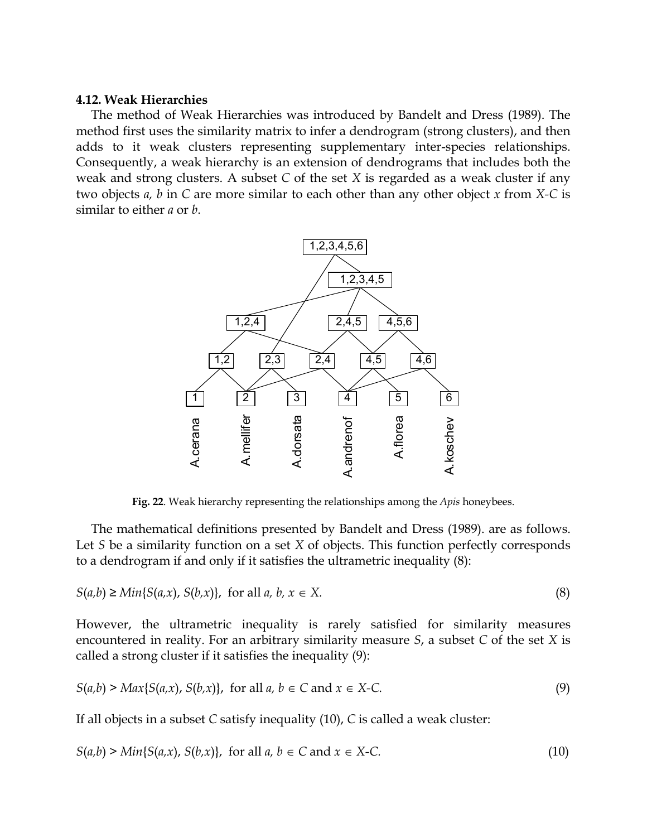#### **4.12. Weak Hierarchies**

The method of Weak Hierarchies was introduced by Bandelt and Dress (1989). The method first uses the similarity matrix to infer a dendrogram (strong clusters), and then adds to it weak clusters representing supplementary inter-species relationships. Consequently, a weak hierarchy is an extension of dendrograms that includes both the weak and strong clusters. A subset *C* of the set *X* is regarded as a weak cluster if any two objects *a, b* in *C* are more similar to each other than any other object *x* from *X-C* is similar to either *a* or *b*.



**Fig. 22**. Weak hierarchy representing the relationships among the *Apis* honeybees.

The mathematical definitions presented by Bandelt and Dress (1989). are as follows. Let *S* be a similarity function on a set *X* of objects. This function perfectly corresponds to a dendrogram if and only if it satisfies the ultrametric inequality (8):

$$
S(a,b) \ge Min\{S(a,x), S(b,x)\}, \text{ for all } a, b, x \in X. \tag{8}
$$

However, the ultrametric inequality is rarely satisfied for similarity measures encountered in reality. For an arbitrary similarity measure *S*, a subset *C* of the set *X* is called a strong cluster if it satisfies the inequality (9):

$$
S(a,b) > Max\{S(a,x), S(b,x)\}, \text{ for all } a, b \in C \text{ and } x \in X-C. \tag{9}
$$

If all objects in a subset *C* satisfy inequality (10), *C* is called a weak cluster:

$$
S(a,b) > Min\{S(a,x), S(b,x)\}, \text{ for all } a, b \in C \text{ and } x \in X-C. \tag{10}
$$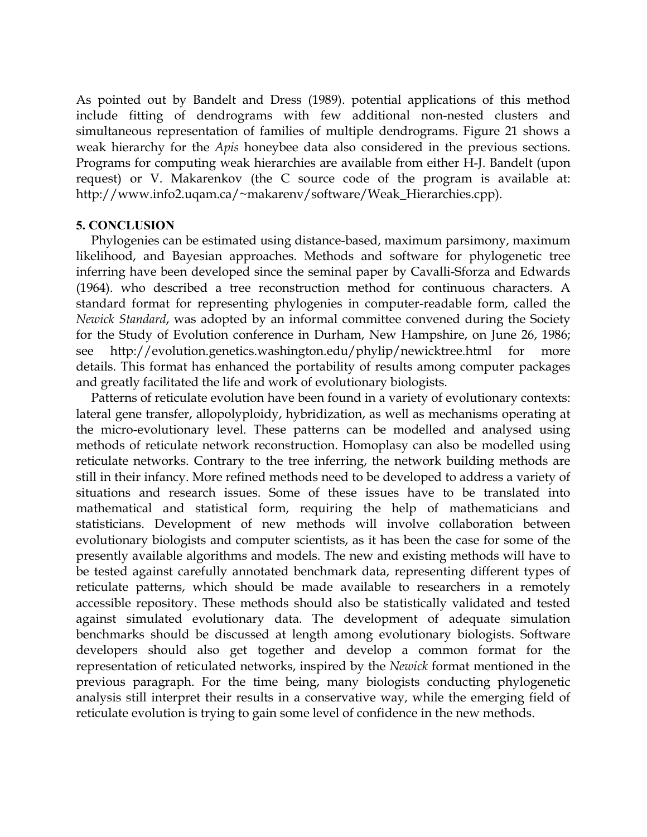As pointed out by Bandelt and Dress (1989). potential applications of this method include fitting of dendrograms with few additional non-nested clusters and simultaneous representation of families of multiple dendrograms. Figure 21 shows a weak hierarchy for the *Apis* honeybee data also considered in the previous sections. Programs for computing weak hierarchies are available from either H-J. Bandelt (upon request) or V. Makarenkov (the C source code of the program is available at: http://www.info2.uqam.ca/~makarenv/software/Weak\_Hierarchies.cpp).

## **5. CONCLUSION**

Phylogenies can be estimated using distance-based, maximum parsimony, maximum likelihood, and Bayesian approaches. Methods and software for phylogenetic tree inferring have been developed since the seminal paper by Cavalli-Sforza and Edwards (1964). who described a tree reconstruction method for continuous characters. A standard format for representing phylogenies in computer-readable form, called the *Newick Standard*, was adopted by an informal committee convened during the Society for the Study of Evolution conference in Durham, New Hampshire, on June 26, 1986; see http://evolution.genetics.washington.edu/phylip/newicktree.html for more details. This format has enhanced the portability of results among computer packages and greatly facilitated the life and work of evolutionary biologists.

Patterns of reticulate evolution have been found in a variety of evolutionary contexts: lateral gene transfer, allopolyploidy, hybridization, as well as mechanisms operating at the micro-evolutionary level. These patterns can be modelled and analysed using methods of reticulate network reconstruction. Homoplasy can also be modelled using reticulate networks. Contrary to the tree inferring, the network building methods are still in their infancy. More refined methods need to be developed to address a variety of situations and research issues. Some of these issues have to be translated into mathematical and statistical form, requiring the help of mathematicians and statisticians. Development of new methods will involve collaboration between evolutionary biologists and computer scientists, as it has been the case for some of the presently available algorithms and models. The new and existing methods will have to be tested against carefully annotated benchmark data, representing different types of reticulate patterns, which should be made available to researchers in a remotely accessible repository. These methods should also be statistically validated and tested against simulated evolutionary data. The development of adequate simulation benchmarks should be discussed at length among evolutionary biologists. Software developers should also get together and develop a common format for the representation of reticulated networks, inspired by the *Newick* format mentioned in the previous paragraph. For the time being, many biologists conducting phylogenetic analysis still interpret their results in a conservative way, while the emerging field of reticulate evolution is trying to gain some level of confidence in the new methods.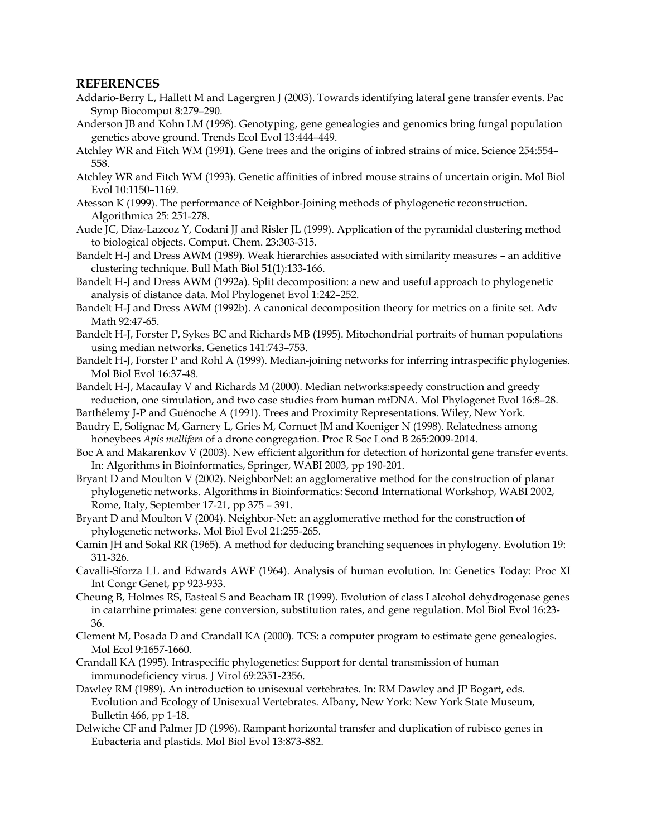#### **REFERENCES**

- Addario-Berry L, Hallett M and Lagergren J (2003). Towards identifying lateral gene transfer events. Pac Symp Biocomput 8:279–290.
- Anderson JB and Kohn LM (1998). Genotyping, gene genealogies and genomics bring fungal population genetics above ground. Trends Ecol Evol 13:444–449.
- Atchley WR and Fitch WM (1991). Gene trees and the origins of inbred strains of mice. Science 254:554– 558.
- Atchley WR and Fitch WM (1993). Genetic affinities of inbred mouse strains of uncertain origin. Mol Biol Evol 10:1150–1169.
- Atesson K (1999). The performance of Neighbor-Joining methods of phylogenetic reconstruction. Algorithmica 25: 251-278.
- Aude JC, Diaz-Lazcoz Y, Codani JJ and Risler JL (1999). Application of the pyramidal clustering method to biological objects. Comput. Chem. 23:303-315.
- Bandelt H-J and Dress AWM (1989). Weak hierarchies associated with similarity measures an additive clustering technique. Bull Math Biol 51(1):133-166.
- Bandelt H-J and Dress AWM (1992a). Split decomposition: a new and useful approach to phylogenetic analysis of distance data. Mol Phylogenet Evol 1:242–252.
- Bandelt H-J and Dress AWM (1992b). A canonical decomposition theory for metrics on a finite set. Adv Math 92:47-65.
- Bandelt H-J, Forster P, Sykes BC and Richards MB (1995). Mitochondrial portraits of human populations using median networks. Genetics 141:743–753.
- Bandelt H-J, Forster P and Rohl A (1999). Median-joining networks for inferring intraspecific phylogenies. Mol Biol Evol 16:37-48.
- Bandelt H-J, Macaulay V and Richards M (2000). Median networks:speedy construction and greedy reduction, one simulation, and two case studies from human mtDNA. Mol Phylogenet Evol 16:8–28.
- Barthélemy J-P and Guénoche A (1991). Trees and Proximity Representations. Wiley, New York.
- Baudry E, Solignac M, Garnery L, Gries M, Cornuet JM and Koeniger N (1998). Relatedness among honeybees *Apis mellifera* of a drone congregation. Proc R Soc Lond B 265:2009-2014.
- Boc A and Makarenkov V (2003). New efficient algorithm for detection of horizontal gene transfer events. In: Algorithms in Bioinformatics, Springer, WABI 2003, pp 190-201.
- Bryant D and Moulton V (2002). NeighborNet: an agglomerative method for the construction of planar phylogenetic networks. Algorithms in Bioinformatics: Second International Workshop, WABI 2002, Rome, Italy, September 17-21, pp 375 – 391.
- Bryant D and Moulton V (2004). Neighbor-Net: an agglomerative method for the construction of phylogenetic networks. Mol Biol Evol 21:255-265.
- Camin JH and Sokal RR (1965). A method for deducing branching sequences in phylogeny. Evolution 19: 311-326.
- Cavalli-Sforza LL and Edwards AWF (1964). Analysis of human evolution. In: Genetics Today: Proc XI Int Congr Genet, pp 923-933.
- Cheung B, Holmes RS, Easteal S and Beacham IR (1999). Evolution of class I alcohol dehydrogenase genes in catarrhine primates: gene conversion, substitution rates, and gene regulation. Mol Biol Evol 16:23- 36.
- Clement M, Posada D and Crandall KA (2000). TCS: a computer program to estimate gene genealogies. Mol Ecol 9:1657-1660.
- Crandall KA (1995). Intraspecific phylogenetics: Support for dental transmission of human immunodeficiency virus. J Virol 69:2351-2356.
- Dawley RM (1989). An introduction to unisexual vertebrates. In: RM Dawley and JP Bogart, eds. Evolution and Ecology of Unisexual Vertebrates. Albany, New York: New York State Museum, Bulletin 466, pp 1-18.
- Delwiche CF and Palmer JD (1996). Rampant horizontal transfer and duplication of rubisco genes in Eubacteria and plastids. Mol Biol Evol 13:873-882.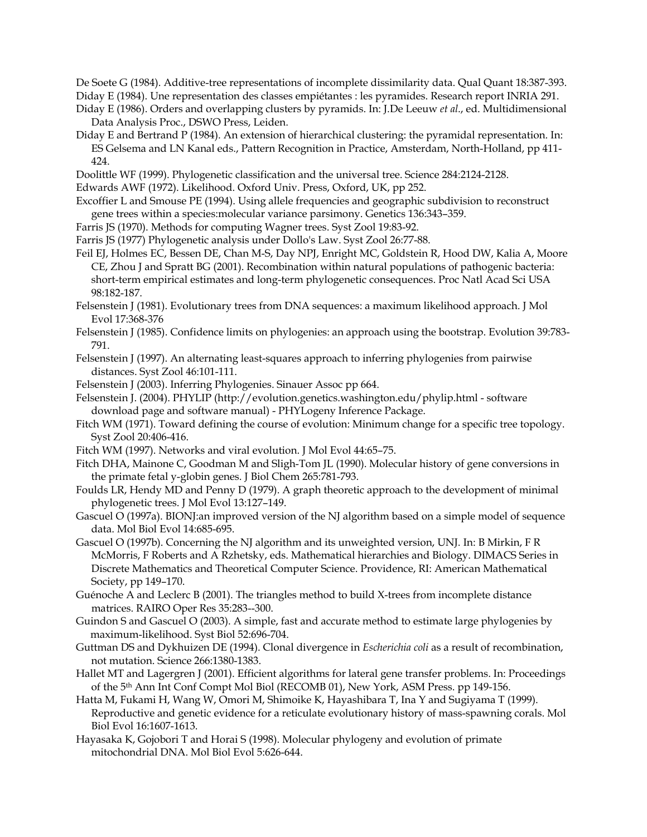De Soete G (1984). Additive-tree representations of incomplete dissimilarity data. Qual Quant 18:387-393.

Diday E (1984). Une representation des classes empiétantes : les pyramides. Research report INRIA 291. Diday E (1986). Orders and overlapping clusters by pyramids. In: J.De Leeuw *et al*., ed. Multidimensional

- Data Analysis Proc., DSWO Press, Leiden.
- Diday E and Bertrand P (1984). An extension of hierarchical clustering: the pyramidal representation. In: ES Gelsema and LN Kanal eds., Pattern Recognition in Practice, Amsterdam, North-Holland, pp 411- 424.
- Doolittle WF (1999). Phylogenetic classification and the universal tree. Science 284:2124-2128.

Edwards AWF (1972). Likelihood. Oxford Univ. Press, Oxford, UK, pp 252.

Excoffier L and Smouse PE (1994). Using allele frequencies and geographic subdivision to reconstruct gene trees within a species:molecular variance parsimony. Genetics 136:343–359.

- Farris JS (1970). Methods for computing Wagner trees. Syst Zool 19:83-92.
- Farris JS (1977) Phylogenetic analysis under Dollo's Law. Syst Zool 26:77-88.
- Feil EJ, Holmes EC, Bessen DE, Chan M-S, Day NPJ, Enright MC, Goldstein R, Hood DW, Kalia A, Moore CE, Zhou J and Spratt BG (2001). Recombination within natural populations of pathogenic bacteria: short-term empirical estimates and long-term phylogenetic consequences. Proc Natl Acad Sci USA 98:182-187.
- Felsenstein J (1981). Evolutionary trees from DNA sequences: a maximum likelihood approach. J Mol Evol 17:368-376
- Felsenstein J (1985). Confidence limits on phylogenies: an approach using the bootstrap. Evolution 39:783- 791.
- Felsenstein J (1997). An alternating least-squares approach to inferring phylogenies from pairwise distances. Syst Zool 46:101-111.
- Felsenstein J (2003). Inferring Phylogenies. Sinauer Assoc pp 664.
- Felsenstein J. (2004). PHYLIP (http://evolution.genetics.washington.edu/phylip.html software download page and software manual) - PHYLogeny Inference Package.

Fitch WM (1971). Toward defining the course of evolution: Minimum change for a specific tree topology. Syst Zool 20:406-416.

- Fitch WM (1997). Networks and viral evolution. J Mol Evol 44:65–75.
- Fitch DHA, Mainone C, Goodman M and Sligh-Tom JL (1990). Molecular history of gene conversions in the primate fetal y-globin genes. J Biol Chem 265:781-793.
- Foulds LR, Hendy MD and Penny D (1979). A graph theoretic approach to the development of minimal phylogenetic trees. J Mol Evol 13:127–149.

Gascuel O (1997a). BIONJ:an improved version of the NJ algorithm based on a simple model of sequence data. Mol Biol Evol 14:685-695.

- Gascuel O (1997b). Concerning the NJ algorithm and its unweighted version, UNJ. In: B Mirkin, F R McMorris, F Roberts and A Rzhetsky, eds. Mathematical hierarchies and Biology. DIMACS Series in Discrete Mathematics and Theoretical Computer Science. Providence, RI: American Mathematical Society, pp 149–170.
- Guénoche A and Leclerc B (2001). The triangles method to build X-trees from incomplete distance matrices. RAIRO Oper Res 35:283--300.
- Guindon S and Gascuel O (2003). A simple, fast and accurate method to estimate large phylogenies by maximum-likelihood. Syst Biol 52:696-704.
- Guttman DS and Dykhuizen DE (1994). Clonal divergence in *Escherichia coli* as a result of recombination, not mutation. Science 266:1380-1383.
- Hallet MT and Lagergren J (2001). Efficient algorithms for lateral gene transfer problems. In: Proceedings of the 5th Ann Int Conf Compt Mol Biol (RECOMB 01), New York, ASM Press. pp 149-156.
- Hatta M, Fukami H, Wang W, Omori M, Shimoike K, Hayashibara T, Ina Y and Sugiyama T (1999). Reproductive and genetic evidence for a reticulate evolutionary history of mass-spawning corals. Mol Biol Evol 16:1607-1613.
- Hayasaka K, Gojobori T and Horai S (1998). Molecular phylogeny and evolution of primate mitochondrial DNA. Mol Biol Evol 5:626-644.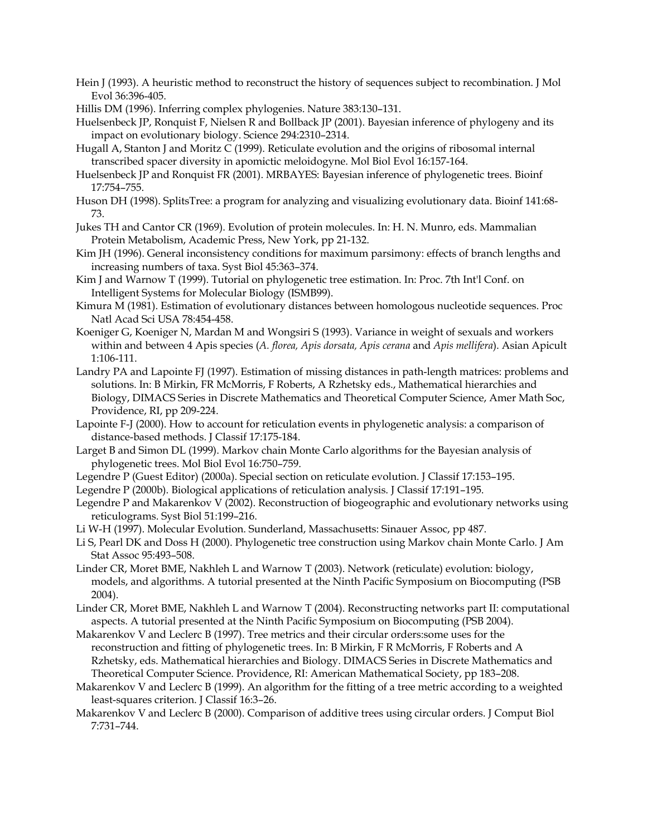Hein J (1993). A heuristic method to reconstruct the history of sequences subject to recombination. J Mol Evol 36:396-405.

Hillis DM (1996). Inferring complex phylogenies. Nature 383:130–131.

- Huelsenbeck JP, Ronquist F, Nielsen R and Bollback JP (2001). Bayesian inference of phylogeny and its impact on evolutionary biology. Science 294:2310–2314.
- Hugall A, Stanton J and Moritz C (1999). Reticulate evolution and the origins of ribosomal internal transcribed spacer diversity in apomictic meloidogyne. Mol Biol Evol 16:157-164.
- Huelsenbeck JP and Ronquist FR (2001). MRBAYES: Bayesian inference of phylogenetic trees. Bioinf 17:754–755.
- Huson DH (1998). SplitsTree: a program for analyzing and visualizing evolutionary data. Bioinf 141:68- 73.
- Jukes TH and Cantor CR (1969). Evolution of protein molecules. In: H. N. Munro, eds. Mammalian Protein Metabolism, Academic Press, New York, pp 21-132.
- Kim JH (1996). General inconsistency conditions for maximum parsimony: effects of branch lengths and increasing numbers of taxa. Syst Biol 45:363–374.
- Kim J and Warnow T (1999). Tutorial on phylogenetic tree estimation. In: Proc. 7th Int'l Conf. on Intelligent Systems for Molecular Biology (ISMB99).
- Kimura M (1981). Estimation of evolutionary distances between homologous nucleotide sequences. Proc Natl Acad Sci USA 78:454-458.
- Koeniger G, Koeniger N, Mardan M and Wongsiri S (1993). Variance in weight of sexuals and workers within and between 4 Apis species (*A. florea, Apis dorsata, Apis cerana* and *Apis mellifera*). Asian Apicult 1:106-111.
- Landry PA and Lapointe FJ (1997). Estimation of missing distances in path-length matrices: problems and solutions. In: B Mirkin, FR McMorris, F Roberts, A Rzhetsky eds., Mathematical hierarchies and Biology, DIMACS Series in Discrete Mathematics and Theoretical Computer Science, Amer Math Soc, Providence, RI, pp 209-224.
- Lapointe F-J (2000). How to account for reticulation events in phylogenetic analysis: a comparison of distance-based methods. J Classif 17:175-184.
- Larget B and Simon DL (1999). Markov chain Monte Carlo algorithms for the Bayesian analysis of phylogenetic trees. Mol Biol Evol 16:750–759.
- Legendre P (Guest Editor) (2000a). Special section on reticulate evolution. J Classif 17:153–195.
- Legendre P (2000b). Biological applications of reticulation analysis. J Classif 17:191–195.
- Legendre P and Makarenkov V (2002). Reconstruction of biogeographic and evolutionary networks using reticulograms. Syst Biol 51:199–216.
- Li W-H (1997). Molecular Evolution. Sunderland, Massachusetts: Sinauer Assoc, pp 487.
- Li S, Pearl DK and Doss H (2000). Phylogenetic tree construction using Markov chain Monte Carlo. J Am Stat Assoc 95:493–508.
- Linder CR, Moret BME, Nakhleh L and Warnow T (2003). Network (reticulate) evolution: biology, models, and algorithms. A tutorial presented at the Ninth Pacific Symposium on Biocomputing (PSB 2004).
- Linder CR, Moret BME, Nakhleh L and Warnow T (2004). Reconstructing networks part II: computational aspects. A tutorial presented at the Ninth Pacific Symposium on Biocomputing (PSB 2004).
- Makarenkov V and Leclerc B (1997). Tree metrics and their circular orders:some uses for the reconstruction and fitting of phylogenetic trees. In: B Mirkin, F R McMorris, F Roberts and A Rzhetsky, eds. Mathematical hierarchies and Biology. DIMACS Series in Discrete Mathematics and Theoretical Computer Science. Providence, RI: American Mathematical Society, pp 183–208.
- Makarenkov V and Leclerc B (1999). An algorithm for the fitting of a tree metric according to a weighted least-squares criterion. J Classif 16:3–26.
- Makarenkov V and Leclerc B (2000). Comparison of additive trees using circular orders. J Comput Biol 7:731–744.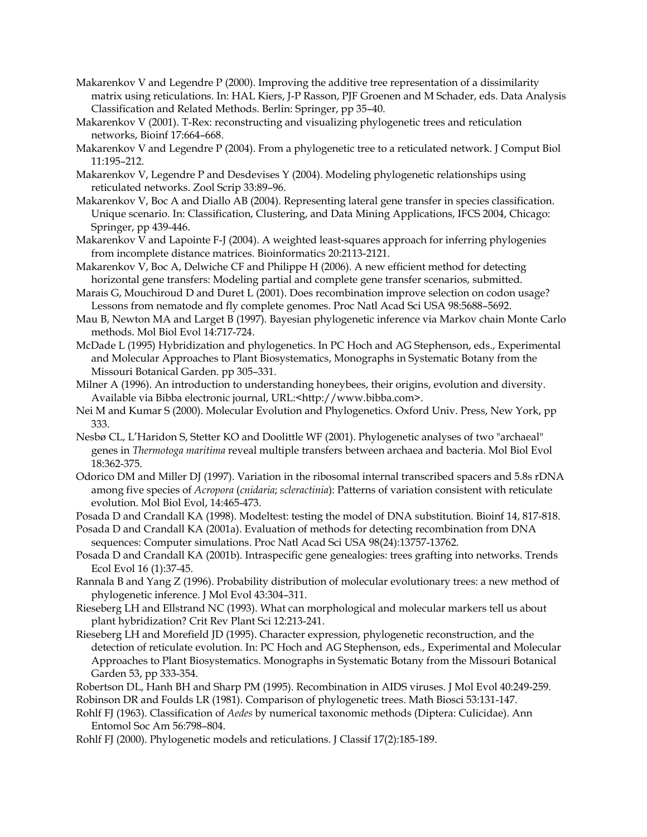- Makarenkov V and Legendre P (2000). Improving the additive tree representation of a dissimilarity matrix using reticulations. In: HAL Kiers, J-P Rasson, PJF Groenen and M Schader, eds. Data Analysis Classification and Related Methods. Berlin: Springer, pp 35–40.
- Makarenkov V (2001). T-Rex: reconstructing and visualizing phylogenetic trees and reticulation networks, Bioinf 17:664–668.
- Makarenkov V and Legendre P (2004). From a phylogenetic tree to a reticulated network. J Comput Biol 11:195–212.
- Makarenkov V, Legendre P and Desdevises Y (2004). Modeling phylogenetic relationships using reticulated networks. Zool Scrip 33:89–96.
- Makarenkov V, Boc A and Diallo AB (2004). Representing lateral gene transfer in species classification. Unique scenario. In: Classification, Clustering, and Data Mining Applications, IFCS 2004, Chicago: Springer, pp 439-446.
- Makarenkov V and Lapointe F-J (2004). A weighted least-squares approach for inferring phylogenies from incomplete distance matrices. Bioinformatics 20:2113-2121.
- Makarenkov V, Boc A, Delwiche CF and Philippe H (2006). A new efficient method for detecting horizontal gene transfers: Modeling partial and complete gene transfer scenarios, submitted.
- Marais G, Mouchiroud D and Duret L (2001). Does recombination improve selection on codon usage? Lessons from nematode and fly complete genomes. Proc Natl Acad Sci USA 98:5688–5692.
- Mau B, Newton MA and Larget B (1997). Bayesian phylogenetic inference via Markov chain Monte Carlo methods. Mol Biol Evol 14:717-724.
- McDade L (1995) Hybridization and phylogenetics. In PC Hoch and AG Stephenson, eds., Experimental and Molecular Approaches to Plant Biosystematics, Monographs in Systematic Botany from the Missouri Botanical Garden. pp 305–331.
- Milner A (1996). An introduction to understanding honeybees, their origins, evolution and diversity. Available via Bibba electronic journal, URL:<http://www.bibba.com>.
- Nei M and Kumar S (2000). Molecular Evolution and Phylogenetics. Oxford Univ. Press, New York, pp 333.
- Nesbø CL, L'Haridon S, Stetter KO and Doolittle WF (2001). Phylogenetic analyses of two "archaeal" genes in *Thermotoga maritima* reveal multiple transfers between archaea and bacteria. Mol Biol Evol 18:362-375.
- Odorico DM and Miller DJ (1997). Variation in the ribosomal internal transcribed spacers and 5.8s rDNA among five species of *Acropora* (*cnidaria*; *scleractinia*): Patterns of variation consistent with reticulate evolution. Mol Biol Evol, 14:465-473.
- Posada D and Crandall KA (1998). Modeltest: testing the model of DNA substitution. Bioinf 14, 817-818.
- Posada D and Crandall KA (2001a). Evaluation of methods for detecting recombination from DNA sequences: Computer simulations. Proc Natl Acad Sci USA 98(24):13757-13762.
- Posada D and Crandall KA (2001b). Intraspecific gene genealogies: trees grafting into networks. Trends Ecol Evol 16 (1):37-45.
- Rannala B and Yang Z (1996). Probability distribution of molecular evolutionary trees: a new method of phylogenetic inference. J Mol Evol 43:304–311.
- Rieseberg LH and Ellstrand NC (1993). What can morphological and molecular markers tell us about plant hybridization? Crit Rev Plant Sci 12:213-241.
- Rieseberg LH and Morefield JD (1995). Character expression, phylogenetic reconstruction, and the detection of reticulate evolution. In: PC Hoch and AG Stephenson, eds., Experimental and Molecular Approaches to Plant Biosystematics. Monographs in Systematic Botany from the Missouri Botanical Garden 53, pp 333-354.
- Robertson DL, Hanh BH and Sharp PM (1995). Recombination in AIDS viruses. J Mol Evol 40:249-259. Robinson DR and Foulds LR (1981). Comparison of phylogenetic trees. Math Biosci 53:131-147.
- Rohlf FJ (1963). Classification of *Aedes* by numerical taxonomic methods (Diptera: Culicidae). Ann Entomol Soc Am 56:798–804.
- Rohlf FJ (2000). Phylogenetic models and reticulations. J Classif 17(2):185-189.